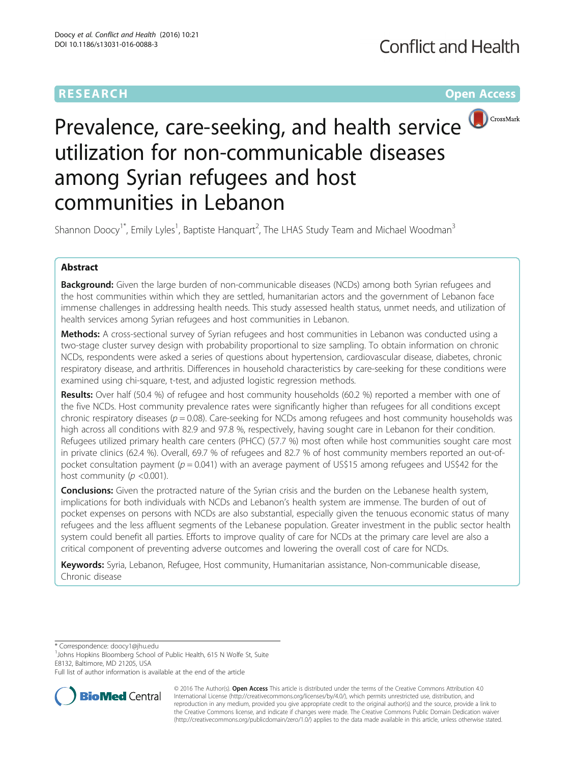# **RESEARCH CHINESE ARCH CHINESE ARCHITECT ARCHITECT ARCHITECT ARCHITECT ARCHITECT ARCHITECT ARCHITECT ARCHITECT ARCHITECT ARCHITECT ARCHITECT ARCHITECT ARCHITECT ARCHITECT ARCHITECT ARCHITECT ARCHITECT ARCHITECT ARCHITE**



# Prevalence, care-seeking, and health service utilization for non-communicable diseases among Syrian refugees and host communities in Lebanon

Shannon Doocy<sup>1\*</sup>, Emily Lyles<sup>1</sup>, Baptiste Hanquart<sup>2</sup>, The LHAS Study Team and Michael Woodman<sup>3</sup>

# Abstract

**Background:** Given the large burden of non-communicable diseases (NCDs) among both Syrian refugees and the host communities within which they are settled, humanitarian actors and the government of Lebanon face immense challenges in addressing health needs. This study assessed health status, unmet needs, and utilization of health services among Syrian refugees and host communities in Lebanon.

Methods: A cross-sectional survey of Syrian refugees and host communities in Lebanon was conducted using a two-stage cluster survey design with probability proportional to size sampling. To obtain information on chronic NCDs, respondents were asked a series of questions about hypertension, cardiovascular disease, diabetes, chronic respiratory disease, and arthritis. Differences in household characteristics by care-seeking for these conditions were examined using chi-square, t-test, and adjusted logistic regression methods.

Results: Over half (50.4 %) of refugee and host community households (60.2 %) reported a member with one of the five NCDs. Host community prevalence rates were significantly higher than refugees for all conditions except chronic respiratory diseases ( $p = 0.08$ ). Care-seeking for NCDs among refugees and host community households was high across all conditions with 82.9 and 97.8 %, respectively, having sought care in Lebanon for their condition. Refugees utilized primary health care centers (PHCC) (57.7 %) most often while host communities sought care most in private clinics (62.4 %). Overall, 69.7 % of refugees and 82.7 % of host community members reported an out-ofpocket consultation payment ( $p = 0.041$ ) with an average payment of US\$15 among refugees and US\$42 for the host community ( $p$  <0.001).

**Conclusions:** Given the protracted nature of the Syrian crisis and the burden on the Lebanese health system, implications for both individuals with NCDs and Lebanon's health system are immense. The burden of out of pocket expenses on persons with NCDs are also substantial, especially given the tenuous economic status of many refugees and the less affluent segments of the Lebanese population. Greater investment in the public sector health system could benefit all parties. Efforts to improve quality of care for NCDs at the primary care level are also a critical component of preventing adverse outcomes and lowering the overall cost of care for NCDs.

Keywords: Syria, Lebanon, Refugee, Host community, Humanitarian assistance, Non-communicable disease, Chronic disease

\* Correspondence: [doocy1@jhu.edu](mailto:doocy1@jhu.edu) <sup>1</sup>

<sup>1</sup> Johns Hopkins Bloomberg School of Public Health, 615 N Wolfe St, Suite E8132, Baltimore, MD 21205, USA

Full list of author information is available at the end of the article



© 2016 The Author(s). Open Access This article is distributed under the terms of the Creative Commons Attribution 4.0 International License [\(http://creativecommons.org/licenses/by/4.0/](http://creativecommons.org/licenses/by/4.0/)), which permits unrestricted use, distribution, and reproduction in any medium, provided you give appropriate credit to the original author(s) and the source, provide a link to the Creative Commons license, and indicate if changes were made. The Creative Commons Public Domain Dedication waiver [\(http://creativecommons.org/publicdomain/zero/1.0/](http://creativecommons.org/publicdomain/zero/1.0/)) applies to the data made available in this article, unless otherwise stated.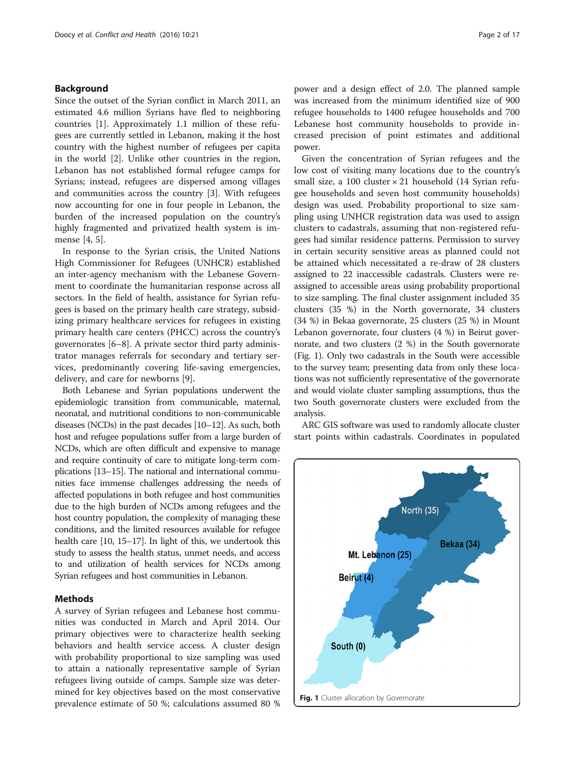#### Background

Since the outset of the Syrian conflict in March 2011, an estimated 4.6 million Syrians have fled to neighboring countries [\[1](#page-15-0)]. Approximately 1.1 million of these refugees are currently settled in Lebanon, making it the host country with the highest number of refugees per capita in the world [[2\]](#page-15-0). Unlike other countries in the region, Lebanon has not established formal refugee camps for Syrians; instead, refugees are dispersed among villages and communities across the country [[3\]](#page-15-0). With refugees now accounting for one in four people in Lebanon, the burden of the increased population on the country's highly fragmented and privatized health system is immense [[4, 5\]](#page-15-0).

In response to the Syrian crisis, the United Nations High Commissioner for Refugees (UNHCR) established an inter-agency mechanism with the Lebanese Government to coordinate the humanitarian response across all sectors. In the field of health, assistance for Syrian refugees is based on the primary health care strategy, subsidizing primary healthcare services for refugees in existing primary health care centers (PHCC) across the country's governorates [\[6](#page-15-0)–[8\]](#page-15-0). A private sector third party administrator manages referrals for secondary and tertiary services, predominantly covering life-saving emergencies, delivery, and care for newborns [[9\]](#page-15-0).

Both Lebanese and Syrian populations underwent the epidemiologic transition from communicable, maternal, neonatal, and nutritional conditions to non-communicable diseases (NCDs) in the past decades [\[10](#page-15-0)–[12\]](#page-15-0). As such, both host and refugee populations suffer from a large burden of NCDs, which are often difficult and expensive to manage and require continuity of care to mitigate long-term complications [\[13](#page-15-0)–[15](#page-15-0)]. The national and international communities face immense challenges addressing the needs of affected populations in both refugee and host communities due to the high burden of NCDs among refugees and the host country population, the complexity of managing these conditions, and the limited resources available for refugee health care [[10](#page-15-0), [15](#page-15-0)–[17](#page-15-0)]. In light of this, we undertook this study to assess the health status, unmet needs, and access to and utilization of health services for NCDs among Syrian refugees and host communities in Lebanon.

#### Methods

A survey of Syrian refugees and Lebanese host communities was conducted in March and April 2014. Our primary objectives were to characterize health seeking behaviors and health service access. A cluster design with probability proportional to size sampling was used to attain a nationally representative sample of Syrian refugees living outside of camps. Sample size was determined for key objectives based on the most conservative prevalence estimate of 50 %; calculations assumed 80 % power and a design effect of 2.0. The planned sample was increased from the minimum identified size of 900 refugee households to 1400 refugee households and 700 Lebanese host community households to provide increased precision of point estimates and additional power.

Given the concentration of Syrian refugees and the low cost of visiting many locations due to the country's small size, a 100 cluster  $\times$  21 household (14 Syrian refugee households and seven host community households) design was used. Probability proportional to size sampling using UNHCR registration data was used to assign clusters to cadastrals, assuming that non-registered refugees had similar residence patterns. Permission to survey in certain security sensitive areas as planned could not be attained which necessitated a re-draw of 28 clusters assigned to 22 inaccessible cadastrals. Clusters were reassigned to accessible areas using probability proportional to size sampling. The final cluster assignment included 35 clusters (35 %) in the North governorate, 34 clusters (34 %) in Bekaa governorate, 25 clusters (25 %) in Mount Lebanon governorate, four clusters (4 %) in Beirut governorate, and two clusters (2 %) in the South governorate (Fig. 1). Only two cadastrals in the South were accessible to the survey team; presenting data from only these locations was not sufficiently representative of the governorate and would violate cluster sampling assumptions, thus the two South governorate clusters were excluded from the analysis.

ARC GIS software was used to randomly allocate cluster start points within cadastrals. Coordinates in populated

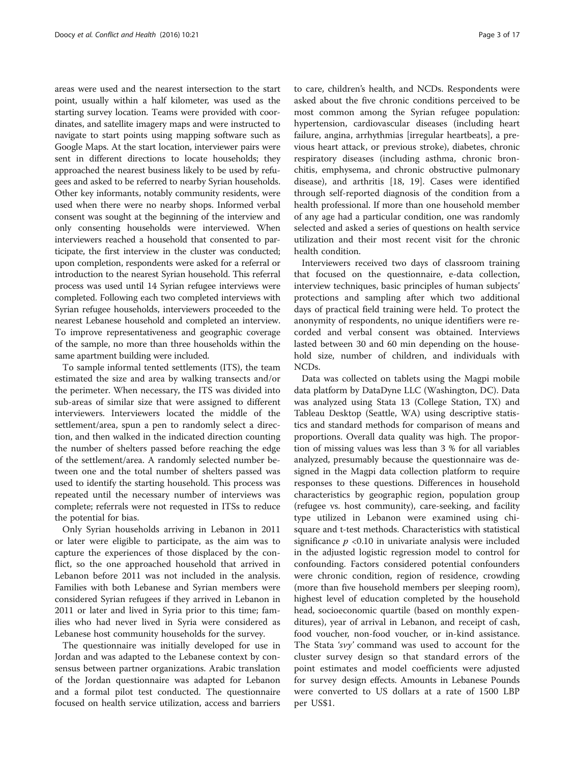areas were used and the nearest intersection to the start point, usually within a half kilometer, was used as the starting survey location. Teams were provided with coordinates, and satellite imagery maps and were instructed to navigate to start points using mapping software such as Google Maps. At the start location, interviewer pairs were sent in different directions to locate households; they approached the nearest business likely to be used by refugees and asked to be referred to nearby Syrian households. Other key informants, notably community residents, were used when there were no nearby shops. Informed verbal consent was sought at the beginning of the interview and only consenting households were interviewed. When interviewers reached a household that consented to participate, the first interview in the cluster was conducted; upon completion, respondents were asked for a referral or introduction to the nearest Syrian household. This referral process was used until 14 Syrian refugee interviews were completed. Following each two completed interviews with Syrian refugee households, interviewers proceeded to the nearest Lebanese household and completed an interview. To improve representativeness and geographic coverage of the sample, no more than three households within the same apartment building were included.

To sample informal tented settlements (ITS), the team estimated the size and area by walking transects and/or the perimeter. When necessary, the ITS was divided into sub-areas of similar size that were assigned to different interviewers. Interviewers located the middle of the settlement/area, spun a pen to randomly select a direction, and then walked in the indicated direction counting the number of shelters passed before reaching the edge of the settlement/area. A randomly selected number between one and the total number of shelters passed was used to identify the starting household. This process was repeated until the necessary number of interviews was complete; referrals were not requested in ITSs to reduce the potential for bias.

Only Syrian households arriving in Lebanon in 2011 or later were eligible to participate, as the aim was to capture the experiences of those displaced by the conflict, so the one approached household that arrived in Lebanon before 2011 was not included in the analysis. Families with both Lebanese and Syrian members were considered Syrian refugees if they arrived in Lebanon in 2011 or later and lived in Syria prior to this time; families who had never lived in Syria were considered as Lebanese host community households for the survey.

The questionnaire was initially developed for use in Jordan and was adapted to the Lebanese context by consensus between partner organizations. Arabic translation of the Jordan questionnaire was adapted for Lebanon and a formal pilot test conducted. The questionnaire focused on health service utilization, access and barriers to care, children's health, and NCDs. Respondents were asked about the five chronic conditions perceived to be most common among the Syrian refugee population: hypertension, cardiovascular diseases (including heart failure, angina, arrhythmias [irregular heartbeats], a previous heart attack, or previous stroke), diabetes, chronic respiratory diseases (including asthma, chronic bronchitis, emphysema, and chronic obstructive pulmonary disease), and arthritis [[18,](#page-15-0) [19\]](#page-16-0). Cases were identified through self-reported diagnosis of the condition from a health professional. If more than one household member of any age had a particular condition, one was randomly selected and asked a series of questions on health service utilization and their most recent visit for the chronic health condition.

Interviewers received two days of classroom training that focused on the questionnaire, e-data collection, interview techniques, basic principles of human subjects' protections and sampling after which two additional days of practical field training were held. To protect the anonymity of respondents, no unique identifiers were recorded and verbal consent was obtained. Interviews lasted between 30 and 60 min depending on the household size, number of children, and individuals with NCDs.

Data was collected on tablets using the Magpi mobile data platform by DataDyne LLC (Washington, DC). Data was analyzed using Stata 13 (College Station, TX) and Tableau Desktop (Seattle, WA) using descriptive statistics and standard methods for comparison of means and proportions. Overall data quality was high. The proportion of missing values was less than 3 % for all variables analyzed, presumably because the questionnaire was designed in the Magpi data collection platform to require responses to these questions. Differences in household characteristics by geographic region, population group (refugee vs. host community), care-seeking, and facility type utilized in Lebanon were examined using chisquare and t-test methods. Characteristics with statistical significance  $p \le 0.10$  in univariate analysis were included in the adjusted logistic regression model to control for confounding. Factors considered potential confounders were chronic condition, region of residence, crowding (more than five household members per sleeping room), highest level of education completed by the household head, socioeconomic quartile (based on monthly expenditures), year of arrival in Lebanon, and receipt of cash, food voucher, non-food voucher, or in-kind assistance. The Stata 'svy' command was used to account for the cluster survey design so that standard errors of the point estimates and model coefficients were adjusted for survey design effects. Amounts in Lebanese Pounds were converted to US dollars at a rate of 1500 LBP per US\$1.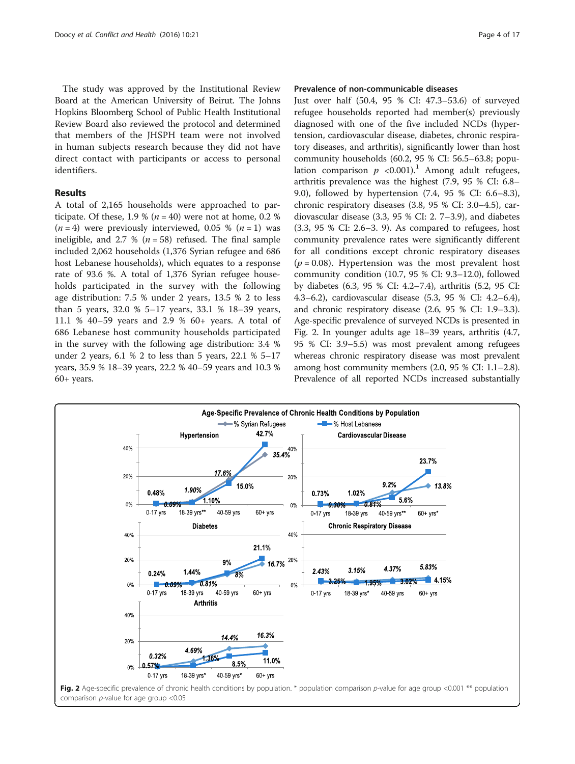<span id="page-3-0"></span>The study was approved by the Institutional Review Board at the American University of Beirut. The Johns Hopkins Bloomberg School of Public Health Institutional Review Board also reviewed the protocol and determined that members of the JHSPH team were not involved in human subjects research because they did not have direct contact with participants or access to personal identifiers.

#### Results

A total of 2,165 households were approached to participate. Of these, 1.9 % ( $n = 40$ ) were not at home, 0.2 %  $(n = 4)$  were previously interviewed, 0.05 %  $(n = 1)$  was ineligible, and 2.7 % ( $n = 58$ ) refused. The final sample included 2,062 households (1,376 Syrian refugee and 686 host Lebanese households), which equates to a response rate of 93.6 %. A total of 1,376 Syrian refugee households participated in the survey with the following age distribution: 7.5 % under 2 years, 13.5 % 2 to less than 5 years, 32.0 % 5–17 years, 33.1 % 18–39 years, 11.1 % 40–59 years and 2.9 % 60+ years. A total of 686 Lebanese host community households participated in the survey with the following age distribution: 3.4 % under 2 years, 6.1 % 2 to less than 5 years, 22.1 % 5–17 years, 35.9 % 18–39 years, 22.2 % 40–59 years and 10.3 % 60+ years.

#### Prevalence of non-communicable diseases

Just over half (50.4, 95 % CI: 47.3–53.6) of surveyed refugee households reported had member(s) previously diagnosed with one of the five included NCDs (hypertension, cardiovascular disease, diabetes, chronic respiratory diseases, and arthritis), significantly lower than host community households (60.2, 95 % CI: 56.5–63.8; population comparison  $p \leq 0.001$ .<sup>1</sup> Among adult refugees, arthritis prevalence was the highest (7.9, 95 % CI: 6.8– 9.0), followed by hypertension (7.4, 95 % CI: 6.6–8.3), chronic respiratory diseases (3.8, 95 % CI: 3.0–4.5), cardiovascular disease (3.3, 95 % CI: 2. 7–3.9), and diabetes (3.3, 95 % CI: 2.6–3. 9). As compared to refugees, host community prevalence rates were significantly different for all conditions except chronic respiratory diseases  $(p = 0.08)$ . Hypertension was the most prevalent host community condition (10.7, 95 % CI: 9.3–12.0), followed by diabetes (6.3, 95 % CI: 4.2–7.4), arthritis (5.2, 95 CI: 4.3–6.2), cardiovascular disease (5.3, 95 % CI: 4.2–6.4), and chronic respiratory disease (2.6, 95 % CI: 1.9–3.3). Age-specific prevalence of surveyed NCDs is presented in Fig. 2. In younger adults age 18–39 years, arthritis (4.7, 95 % CI: 3.9–5.5) was most prevalent among refugees whereas chronic respiratory disease was most prevalent among host community members (2.0, 95 % CI: 1.1–2.8). Prevalence of all reported NCDs increased substantially

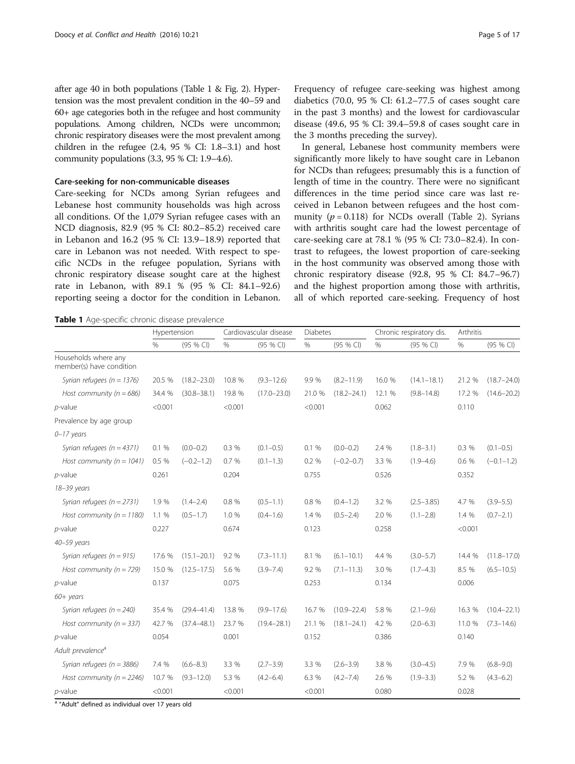after age 40 in both populations (Table 1 & Fig. [2\)](#page-3-0). Hypertension was the most prevalent condition in the 40–59 and 60+ age categories both in the refugee and host community populations. Among children, NCDs were uncommon; chronic respiratory diseases were the most prevalent among children in the refugee (2.4, 95 % CI: 1.8–3.1) and host community populations (3.3, 95 % CI: 1.9–4.6).

#### Care-seeking for non-communicable diseases

Care-seeking for NCDs among Syrian refugees and Lebanese host community households was high across all conditions. Of the 1,079 Syrian refugee cases with an NCD diagnosis, 82.9 (95 % CI: 80.2–85.2) received care in Lebanon and 16.2 (95 % CI: 13.9–18.9) reported that care in Lebanon was not needed. With respect to specific NCDs in the refugee population, Syrians with chronic respiratory disease sought care at the highest rate in Lebanon, with 89.1 % (95 % CI: 84.1–92.6) reporting seeing a doctor for the condition in Lebanon.

Frequency of refugee care-seeking was highest among diabetics (70.0, 95 % CI: 61.2–77.5 of cases sought care in the past 3 months) and the lowest for cardiovascular disease (49.6, 95 % CI: 39.4–59.8 of cases sought care in the 3 months preceding the survey).

In general, Lebanese host community members were significantly more likely to have sought care in Lebanon for NCDs than refugees; presumably this is a function of length of time in the country. There were no significant differences in the time period since care was last received in Lebanon between refugees and the host community ( $p = 0.118$ ) for NCDs overall (Table [2](#page-5-0)). Syrians with arthritis sought care had the lowest percentage of care-seeking care at 78.1 % (95 % CI: 73.0–82.4). In contrast to refugees, the lowest proportion of care-seeking in the host community was observed among those with chronic respiratory disease (92.8, 95 % CI: 84.7–96.7) and the highest proportion among those with arthritis, all of which reported care-seeking. Frequency of host

Table 1 Age-specific chronic disease prevalence

|                                                  | Hypertension |                 |               | Cardiovascular disease | <b>Diabetes</b> |                 |               | Chronic respiratory dis. | Arthritis |                 |
|--------------------------------------------------|--------------|-----------------|---------------|------------------------|-----------------|-----------------|---------------|--------------------------|-----------|-----------------|
|                                                  | %            | (95 % CI)       | $\frac{0}{0}$ | (95 % CI)              | $\%$            | (95 % CI)       | $\frac{0}{0}$ | (95 % CI)                | $\%$      | (95 % CI)       |
| Households where any<br>member(s) have condition |              |                 |               |                        |                 |                 |               |                          |           |                 |
| Syrian refugees ( $n = 1376$ )                   | 20.5 %       | $(18.2 - 23.0)$ | 10.8 %        | $(9.3 - 12.6)$         | 9.9%            | $(8.2 - 11.9)$  | 16.0 %        | $(14.1 - 18.1)$          | 21.2 %    | $(18.7 - 24.0)$ |
| Host community ( $n = 686$ )                     | 34.4 %       | $(30.8 - 38.1)$ | 19.8 %        | $(17.0 - 23.0)$        | 21.0 %          | $(18.2 - 24.1)$ | 12.1 %        | $(9.8 - 14.8)$           | 17.2 %    | $(14.6 - 20.2)$ |
| $p$ -value                                       | < 0.001      |                 | < 0.001       |                        | < 0.001         |                 | 0.062         |                          | 0.110     |                 |
| Prevalence by age group                          |              |                 |               |                        |                 |                 |               |                          |           |                 |
| $0 - 17$ years                                   |              |                 |               |                        |                 |                 |               |                          |           |                 |
| Syrian refugees ( $n = 4371$ )                   | 0.1%         | $(0.0 - 0.2)$   | 0.3 %         | $(0.1 - 0.5)$          | 0.1%            | $(0.0 - 0.2)$   | 2.4 %         | $(1.8 - 3.1)$            | 0.3 %     | $(0.1 - 0.5)$   |
| Host community ( $n = 1041$ )                    | 0.5 %        | $(-0.2 - 1.2)$  | 0.7%          | $(0.1 - 1.3)$          | 0.2 %           | $(-0.2 - 0.7)$  | 3.3 %         | $(1.9 - 4.6)$            | 0.6 %     | $(-0.1 - 1.2)$  |
| $p$ -value                                       | 0.261        |                 | 0.204         |                        | 0.755           |                 | 0.526         |                          | 0.352     |                 |
| 18-39 years                                      |              |                 |               |                        |                 |                 |               |                          |           |                 |
| Syrian refugees ( $n = 2731$ )                   | 1.9 %        | $(1.4 - 2.4)$   | 0.8 %         | $(0.5 - 1.1)$          | 0.8 %           | $(0.4 - 1.2)$   | 3.2 %         | $(2.5 - 3.85)$           | 4.7 %     | $(3.9 - 5.5)$   |
| Host community ( $n = 1180$ )                    | 1.1 %        | $(0.5 - 1.7)$   | 1.0 %         | $(0.4 - 1.6)$          | 1.4 %           | $(0.5 - 2.4)$   | 2.0 %         | $(1.1 - 2.8)$            | 1.4 %     | $(0.7 - 2.1)$   |
| $p$ -value                                       | 0.227        |                 | 0.674         |                        | 0.123           |                 | 0.258         |                          | < 0.001   |                 |
| 40-59 years                                      |              |                 |               |                        |                 |                 |               |                          |           |                 |
| Syrian refugees ( $n = 915$ )                    | 17.6 %       | $(15.1 - 20.1)$ | 9.2 %         | $(7.3 - 11.1)$         | 8.1 %           | $(6.1 - 10.1)$  | 4.4 %         | $(3.0 - 5.7)$            | 14.4 %    | $(11.8 - 17.0)$ |
| Host community ( $n = 729$ )                     | 15.0 %       | $(12.5 - 17.5)$ | 5.6 %         | $(3.9 - 7.4)$          | 9.2 %           | $(7.1 - 11.3)$  | 3.0 %         | $(1.7 - 4.3)$            | 8.5 %     | $(6.5 - 10.5)$  |
| $p$ -value                                       | 0.137        |                 | 0.075         |                        | 0.253           |                 | 0.134         |                          | 0.006     |                 |
| $60+$ years                                      |              |                 |               |                        |                 |                 |               |                          |           |                 |
| Syrian refugees ( $n = 240$ )                    | 35.4 %       | $(29.4 - 41.4)$ | 13.8 %        | $(9.9 - 17.6)$         | 16.7 %          | $(10.9 - 22.4)$ | 5.8 %         | $(2.1 - 9.6)$            | 16.3 %    | $(10.4 - 22.1)$ |
| Host community ( $n = 337$ )                     | 42.7 %       | $(37.4 - 48.1)$ | 23.7 %        | $(19.4 - 28.1)$        | 21.1 %          | $(18.1 - 24.1)$ | 4.2 %         | $(2.0 - 6.3)$            | 11.0 %    | $(7.3 - 14.6)$  |
| $p$ -value                                       | 0.054        |                 | 0.001         |                        | 0.152           |                 | 0.386         |                          | 0.140     |                 |
| Adult prevalence <sup>a</sup>                    |              |                 |               |                        |                 |                 |               |                          |           |                 |
| Syrian refugees ( $n = 3886$ )                   | 7.4 %        | $(6.6 - 8.3)$   | 3.3 %         | $(2.7 - 3.9)$          | 3.3 %           | $(2.6 - 3.9)$   | 3.8 %         | $(3.0 - 4.5)$            | 7.9 %     | $(6.8 - 9.0)$   |
| Host community ( $n = 2246$ )                    | 10.7 %       | $(9.3 - 12.0)$  | 5.3 %         | $(4.2 - 6.4)$          | 6.3 %           | $(4.2 - 7.4)$   | 2.6 %         | $(1.9 - 3.3)$            | 5.2 %     | $(4.3 - 6.2)$   |
| $p$ -value                                       | < 0.001      |                 | < 0.001       |                        | < 0.001         |                 | 0.080         |                          | 0.028     |                 |

a "Adult" defined as individual over 17 years old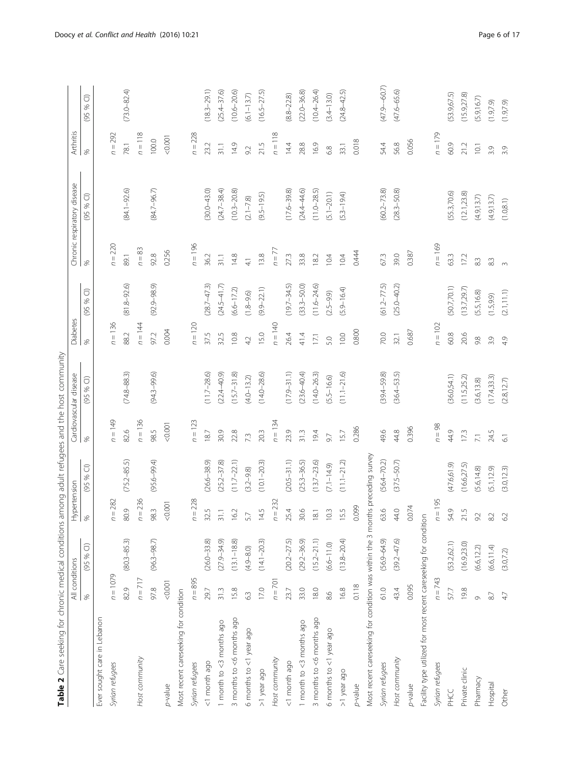<span id="page-5-0"></span>

| Table 2 Care seeking for chronic medical conditions among adult refugees and the host community |                |                           |                       |                 |                |                        |           |                 |                  |                             |           |                 |
|-------------------------------------------------------------------------------------------------|----------------|---------------------------|-----------------------|-----------------|----------------|------------------------|-----------|-----------------|------------------|-----------------------------|-----------|-----------------|
|                                                                                                 | All conditions |                           | Hypertension          |                 |                | Cardiovascular disease | Diabetes  |                 |                  | Chronic respiratory disease | Arthritis |                 |
|                                                                                                 | $\%$           | $\widehat{\cup}$<br>(95 % | $\%$                  | $(95%$ Cl)      | $\%$           | $(95%$ Cl)             | $\%$      | $(95%$ Cl)      | $\gg$            | (95 % 0)                    | $\%$      | (95 % C)        |
| Ever sought care in Lebanon                                                                     |                |                           |                       |                 |                |                        |           |                 |                  |                             |           |                 |
| Syrian refugees                                                                                 | $n = 1079$     |                           | $n = 282$             |                 | $n = 149$      |                        | $n = 136$ |                 | $n = 220$        |                             | $n = 292$ |                 |
|                                                                                                 | 82.9           | $(80.3 - 85.3)$           | 80.9                  | $(75.2 - 85.5)$ | 82.6           | $(74.8 - 88.3)$        | 88.2      | $(81.8 - 92.6)$ | 89.1             | $(84.1 - 92.6)$             | 78.1      | $(73.0 - 82.4)$ |
| Host community                                                                                  | $n = 717$      |                           | $n = 236$             |                 | $n = 136$      |                        | $n = 144$ |                 | $n = 83$         |                             | $n = 118$ |                 |
|                                                                                                 | 97.8           | $(96.3 - 98.7)$           | 98.3                  | $(95.6 - 99.4)$ | 98.5           | $(94.3 - 99.6)$        | 97.2      | $(92.9 - 98.9)$ | 92.8             | $(84.7 - 96.7)$             | 100.0     |                 |
| p-value                                                                                         | < 0.001        |                           | 0.001                 |                 | 0.001          |                        | 0.004     |                 | 0.256            |                             | 0.001     |                 |
| Most recent careseeking for condition                                                           |                |                           |                       |                 |                |                        |           |                 |                  |                             |           |                 |
| Syrian refugees                                                                                 | $n = 895$      |                           | $n = 228$             |                 | $n = 123$      |                        | $n = 120$ |                 | $n = 196$        |                             | $n = 228$ |                 |
| <1 month ago                                                                                    | 29.7           | $(26.0 - 33.8)$           | 32.5                  | $(26.6 - 38.9)$ | 18.7           | $(11.7 - 28.6)$        | 37.5      | $(28.7 - 47.3)$ | 36.2             | $(30.0 - 43.0)$             | 23.2      | $(18.3 - 29.1)$ |
| 1 month to <3 months ago                                                                        | 31.3           | $(27.9 - 34.9)$           | 31.1                  | $(25.2 - 37.8)$ | 30.9           | $(22.4 - 40.9)$        | 32.5      | $(24.5 - 41.7)$ | 31.1             | $(24.7 - 38.4)$             | 31.1      | $(25.4 - 37.6)$ |
| 3 months to <6 months ago                                                                       | 15.8           | $(13.1 - 18.8)$           | 16.2                  | $(11.7 - 22.1)$ | 22.8           | $(15.7 - 31.8)$        | 10.8      | $(6.6 - 17.2)$  | 14.8             | $(10.3 - 20.8)$             | 14.9      | $(10.6 - 20.6)$ |
| 6 months to <1 year ago                                                                         | 63             | $(4.9 - 8.0)$             | 57                    | $(3.2 - 9.8)$   | 7.3            | $(4.0 - 13.2)$         | 42        | $(1.8 - 9.6)$   | $\overline{4}$ . | $(2.1 - 7.8)$               | 9.2       | $(6.1 - 13.7)$  |
| >1 year ago                                                                                     | 17.0           | $(14.1 - 20.3)$           | Lŋ.<br>$\overline{4}$ | $(10.1 - 20.3)$ | 20.3           | $(14.0 - 28.6)$        | 15.0      | $(9.9 - 22.1)$  | 13.8             | $(9.5 - 19.5)$              | 21.5      | $(16.5 - 27.5)$ |
| Host community                                                                                  | $n = 701$      |                           | $n = 232$             |                 | $n = 134$      |                        | $n = 140$ |                 | $n = 77$         |                             | $n = 118$ |                 |
| <1 month ago                                                                                    | 23.7           | $(20.2 - 27.5)$           | 25.4                  | $(20.5 - 31.1)$ | 23.9           | $(17.9 - 31.1)$        | 26.4      | $(19.7 - 34.5)$ | 27.3             | $(17.6 - 39.8)$             | 14.4      | $(8.8 - 22.8)$  |
| 1 month to <3 months ago                                                                        | 33.0           | $(29.2 - 36.9)$           | 30.6                  | $(25.3 - 36.5)$ | 31.3           | $(23.6 - 40.4)$        | 41.4      | $(33.3 - 50.0)$ | 33.8             | $(24.4 - 44.6)$             | 28.8      | $(22.0 - 36.8)$ |
| 3 months to <6 months ago                                                                       | 18.0           | $(15.2 - 21.1)$           | $\overline{181}$      | $(13.7 - 23.6)$ | 19.4           | $(14.0 - 26.3)$        | $17.1\,$  | $(11.6 - 24.6)$ | 18.2             | $(11.0 - 28.5)$             | 16.9      | $(10.4 - 26.4)$ |
| 6 months to $<$ 1 year ago                                                                      | 8.6            | $(6.6 - 11.0)$            | 10.3                  | $(7.1 - 14.9)$  | 97             | $(5.5 - 16.6)$         | 5.0       | $(2.5 - 9.9)$   | 10.4             | $(5.1 - 20.1)$              | $68$      | $(3.4 - 13.0)$  |
| >1 year ago                                                                                     | 168            | $(13.8 - 20.4)$           | 15.5                  | $(11.1 - 21.2)$ | 15.7           | $(11.1 - 21.6)$        | 10.0      | $(5.9 - 16.4)$  | 10.4             | $(5.3 - 19.4)$              | 33.1      | $(24.8 - 42.5)$ |
| p-value                                                                                         | 0.118          |                           | 0.099                 |                 | 0.286          |                        | 0.800     |                 | 0.444            |                             | 0.018     |                 |
| Most recent careseeking for condition was within the 3 months preceding survey                  |                |                           |                       |                 |                |                        |           |                 |                  |                             |           |                 |
| Syrian refugees                                                                                 | 61.0           | $(56.9 - 64.9)$           | 63.6                  | $(56.4 - 70.2)$ | 49.6           | $(39.4 - 59.8)$        | 70.0      | $(61.2 - 77.5)$ | 67.3             | $(60.2 - 73.8)$             | 54.4      | $(47.9 - 60.7)$ |
| Host community                                                                                  | 43.4           | $(39.2 - 47.6)$           | 44.0                  | $(37.5 - 50.7)$ | 44.8           | $(36.4 - 53.5)$        | 32.1      | $(25.0 - 40.2)$ | 39.0             | $(28.3 - 50.8)$             | 56.8      | $(47.6 - 65.6)$ |
| p-value                                                                                         | 0.095          |                           | 0.074                 |                 | 0.396          |                        | 0.687     |                 | 0.387            |                             | 0.056     |                 |
| Facility type utilized for most recent careseeking for condition                                |                |                           |                       |                 |                |                        |           |                 |                  |                             |           |                 |
| Syrian refugees                                                                                 | $n = 743$      |                           | $n = 195$             |                 | $n = 98$       |                        | $n=102$   |                 | $n = 169$        |                             | $n = 179$ |                 |
| PHCC                                                                                            | 57.7           | (53.2, 62.1)              | 54.9                  | (47.6, 61.9)    | 44.9           | (36.0,54.1)            | 60.8      | (50.7, 70.1)    | 63.3             | (55.3, 70.6)                | 60.9      | (53.967.5)      |
| Private clinic                                                                                  | 19.8           | (16.9, 23.0)              | 21.5                  | (16.6, 27.5)    | 17.3           | (11.5, 25.2)           | 20.6      | (13.7,29.7)     | 17.2             | (12.1, 23.8)                | 21.2      | (15.9,27.8)     |
| Pharmacy                                                                                        | $\circ$        | (6.6, 12.2)               | 92                    | (5.6, 14.8)     | $\overline{z}$ | (3.6, 13.8)            | 9.8       | (5.5, 16.8)     | $83$             | (4.9, 13.7)                 | 10.1      | (5.9, 16.7)     |
| Hospital                                                                                        | $87\,$         | (6.6, 11.4)               | 82                    | (5.1, 12.9)     | 24.5           | (17.4, 33.3)           | 3.9       | (1.5, 9.9)      | 83               | (4.9, 13.7)                 | 3.9       | (1.9, 7.9)      |
| Other                                                                                           | 47             | (3.0, 7.2)                | 62                    | (3.0, 12.3)     | $\overline{6}$ | (2.8, 12.7)            | 4.9       | (2.1, 11.1)     | $\infty$         | (1.0,8.1)                   | 3.9       | (1.9, 7.9)      |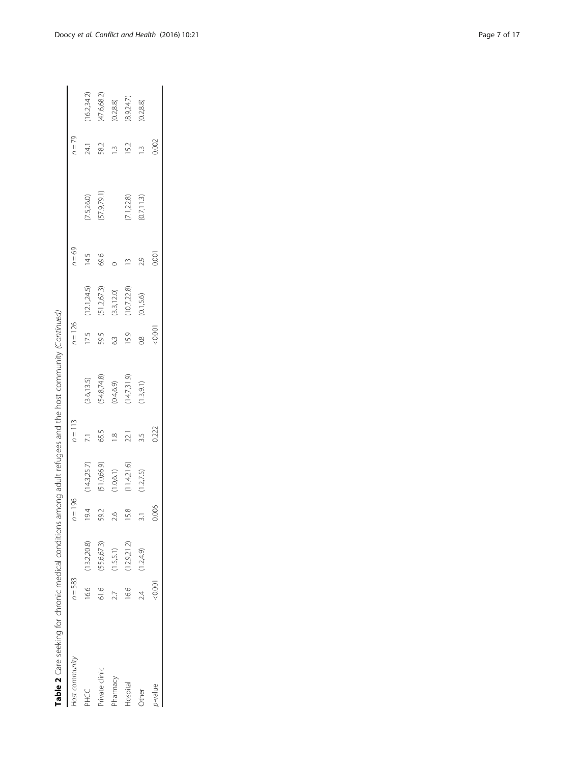|                                                                                                                                                                                            | í<br>S<br>l<br>֖֖֚֚֚֚֚֚֚֚֚֚֚֚֬                                              |
|--------------------------------------------------------------------------------------------------------------------------------------------------------------------------------------------|-----------------------------------------------------------------------------|
| ١<br>Í<br>j<br>١                                                                                                                                                                           | l                                                                           |
| こくり せんとう りょう ちょう<br>$\frac{1}{2}$<br>ì<br>Ĵ<br>5<br>)<br>)<br>)                                                                                                                            | C<br>$\overline{\phantom{a}}$                                               |
| くろこ サンド・サーブ りょうりょう しょうし せんこうりょうりこうりょう<br>١<br>١<br>ׇ֚֘֝֬<br>֚֬֓֡֡֡֡֡<br>j<br>j                                                                                                             | Ï<br>$\overline{\phantom{a}}$<br>١                                          |
| j<br>j<br>j<br>Ĵ<br>j<br>s<br>S<br>١<br>I<br>i<br>ׇ֚֓֡<br>١                                                                                                                                | í<br>$\frac{1}{s}$                                                          |
| J<br>1<br>;<br>)<br>ï<br>j<br>٠<br>.<br>!<br>j<br>J<br>1<br>֧ׅ֘֜֓<br>j<br>ı<br>م الماه<br>֖֖֖֖֖֖֧֖֧֪֪֪ׅ֛֖֧֖֧֖֧֖֖֧֪֪֪֪֪֪֪֪֪֪֪֪֪֪֪֪֪֪֪֪֪֪֪֚֚֚֚֚֚֚֚֚֚֚֚֚֚֚֚֚֚֚֚֚֚֡֝֓֝֟֓֓֓֓֓֝֬֓֓֝֓֝֓֞֝֬֝֬<br>l | ¢<br>$\sim$ $\sim$ $\sim$ $\sim$ $\sim$ $\sim$ $\sim$<br>$\frac{1}{2}$<br>ì |

| fost community  | $n = 583$ |              | $= 196$ |              | $n = 113$         |                                 | $n = 126$ |                                                | $n = 69$      |             | $n = 79$      |             |
|-----------------|-----------|--------------|---------|--------------|-------------------|---------------------------------|-----------|------------------------------------------------|---------------|-------------|---------------|-------------|
| DHCC            | 16.6      | (13.2, 20.8) | 19.4    | (14.3, 25.7) | $\overline{z}$    |                                 | 17.5      |                                                | 14.5          | (7.5,26.0)  | 24.1          | (16.2,34.2) |
| Private clinic  | 61.6      | (55.6, 67.3) | 59.2    | (51.0, 66.9) | 65.5              | $(3.6, 13.5)$<br>$(54.8, 74.8)$ | 59.5      |                                                | 69.6          | 57.9,79.1   | 58.2          | (47.6,68.2) |
| harmacy         | 2.7       | (1.5, 5.1)   | 2.6     | (1.0, 6.1)   | $\frac{1.8}{\pi}$ |                                 | 63        | $(12.1,24.5)$<br>$(51.2,67.3)$<br>$(3.3,12.0)$ |               |             | $\frac{1}{2}$ | (0.2, 8.8)  |
| <b>letidsol</b> | 16.6      | (12.9, 21.2) | 15.8    | (11.4, 21.6) | 22.1              | $(0.4, 6.9)$<br>$(14.7, 31.9)$  | 15.9      | (10.7, 22.8)                                   | $\frac{1}{2}$ | (7.1, 22.8) | 15.2          | (8.9,24.7)  |
| <b>Other</b>    | 24        | (1.2, 4.9)   |         | (1.2, 7.5)   | 3.5               | (1.3, 9.1)                      | 0.8       | (0.1, 5.6)                                     | 2.9           | (0.7, 11.3) | $\frac{1}{2}$ | (0.2, 8.8)  |
| p-value         | 50,001    |              | 0.006   |              | 0.222             |                                 | 0.001     |                                                | 0.001         |             | 0.002         |             |
|                 |           |              |         |              |                   |                                 |           |                                                |               |             |               |             |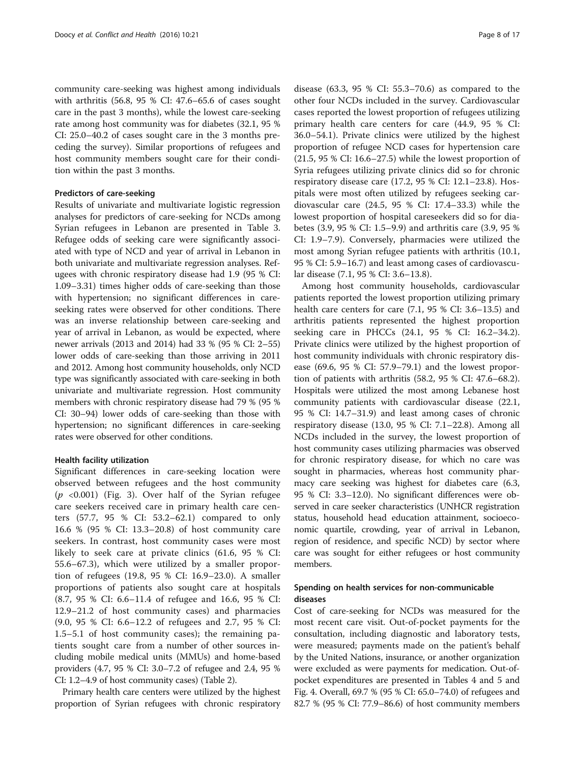community care-seeking was highest among individuals with arthritis (56.8, 95 % CI: 47.6–65.6 of cases sought care in the past 3 months), while the lowest care-seeking rate among host community was for diabetes (32.1, 95 % CI: 25.0–40.2 of cases sought care in the 3 months preceding the survey). Similar proportions of refugees and host community members sought care for their condition within the past 3 months.

#### Predictors of care-seeking

Results of univariate and multivariate logistic regression analyses for predictors of care-seeking for NCDs among Syrian refugees in Lebanon are presented in Table [3](#page-8-0). Refugee odds of seeking care were significantly associated with type of NCD and year of arrival in Lebanon in both univariate and multivariate regression analyses. Refugees with chronic respiratory disease had 1.9 (95 % CI: 1.09–3.31) times higher odds of care-seeking than those with hypertension; no significant differences in careseeking rates were observed for other conditions. There was an inverse relationship between care-seeking and year of arrival in Lebanon, as would be expected, where newer arrivals (2013 and 2014) had 33 % (95 % CI: 2–55) lower odds of care-seeking than those arriving in 2011 and 2012. Among host community households, only NCD type was significantly associated with care-seeking in both univariate and multivariate regression. Host community members with chronic respiratory disease had 79 % (95 % CI: 30–94) lower odds of care-seeking than those with hypertension; no significant differences in care-seeking rates were observed for other conditions.

#### Health facility utilization

Significant differences in care-seeking location were observed between refugees and the host community  $(p \le 0.001)$  (Fig. [3\)](#page-10-0). Over half of the Syrian refugee care seekers received care in primary health care centers (57.7, 95 % CI: 53.2–62.1) compared to only 16.6 % (95 % CI: 13.3–20.8) of host community care seekers. In contrast, host community cases were most likely to seek care at private clinics (61.6, 95 % CI: 55.6–67.3), which were utilized by a smaller proportion of refugees (19.8, 95 % CI: 16.9–23.0). A smaller proportions of patients also sought care at hospitals (8.7, 95 % CI: 6.6–11.4 of refugee and 16.6, 95 % CI: 12.9–21.2 of host community cases) and pharmacies (9.0, 95 % CI: 6.6–12.2 of refugees and 2.7, 95 % CI: 1.5–5.1 of host community cases); the remaining patients sought care from a number of other sources including mobile medical units (MMUs) and home-based providers (4.7, 95 % CI: 3.0–7.2 of refugee and 2.4, 95 % CI: 1.2–4.9 of host community cases) (Table [2](#page-5-0)).

Primary health care centers were utilized by the highest proportion of Syrian refugees with chronic respiratory

disease (63.3, 95 % CI: 55.3–70.6) as compared to the other four NCDs included in the survey. Cardiovascular cases reported the lowest proportion of refugees utilizing primary health care centers for care (44.9, 95 % CI: 36.0–54.1). Private clinics were utilized by the highest proportion of refugee NCD cases for hypertension care (21.5, 95 % CI: 16.6–27.5) while the lowest proportion of Syria refugees utilizing private clinics did so for chronic respiratory disease care (17.2, 95 % CI: 12.1–23.8). Hospitals were most often utilized by refugees seeking cardiovascular care (24.5, 95 % CI: 17.4–33.3) while the lowest proportion of hospital careseekers did so for diabetes (3.9, 95 % CI: 1.5–9.9) and arthritis care (3.9, 95 % CI: 1.9–7.9). Conversely, pharmacies were utilized the most among Syrian refugee patients with arthritis (10.1, 95 % CI: 5.9–16.7) and least among cases of cardiovascular disease (7.1, 95 % CI: 3.6–13.8).

Among host community households, cardiovascular patients reported the lowest proportion utilizing primary health care centers for care (7.1, 95 % CI: 3.6–13.5) and arthritis patients represented the highest proportion seeking care in PHCCs (24.1, 95 % CI: 16.2–34.2). Private clinics were utilized by the highest proportion of host community individuals with chronic respiratory disease (69.6, 95 % CI: 57.9–79.1) and the lowest proportion of patients with arthritis (58.2, 95 % CI: 47.6–68.2). Hospitals were utilized the most among Lebanese host community patients with cardiovascular disease (22.1, 95 % CI: 14.7–31.9) and least among cases of chronic respiratory disease (13.0, 95 % CI: 7.1–22.8). Among all NCDs included in the survey, the lowest proportion of host community cases utilizing pharmacies was observed for chronic respiratory disease, for which no care was sought in pharmacies, whereas host community pharmacy care seeking was highest for diabetes care (6.3, 95 % CI: 3.3–12.0). No significant differences were observed in care seeker characteristics (UNHCR registration status, household head education attainment, socioeconomic quartile, crowding, year of arrival in Lebanon, region of residence, and specific NCD) by sector where care was sought for either refugees or host community members.

#### Spending on health services for non-communicable diseases

Cost of care-seeking for NCDs was measured for the most recent care visit. Out-of-pocket payments for the consultation, including diagnostic and laboratory tests, were measured; payments made on the patient's behalf by the United Nations, insurance, or another organization were excluded as were payments for medication. Out-ofpocket expenditures are presented in Tables [4](#page-11-0) and [5](#page-12-0) and Fig. [4](#page-13-0). Overall, 69.7 % (95 % CI: 65.0–74.0) of refugees and 82.7 % (95 % CI: 77.9–86.6) of host community members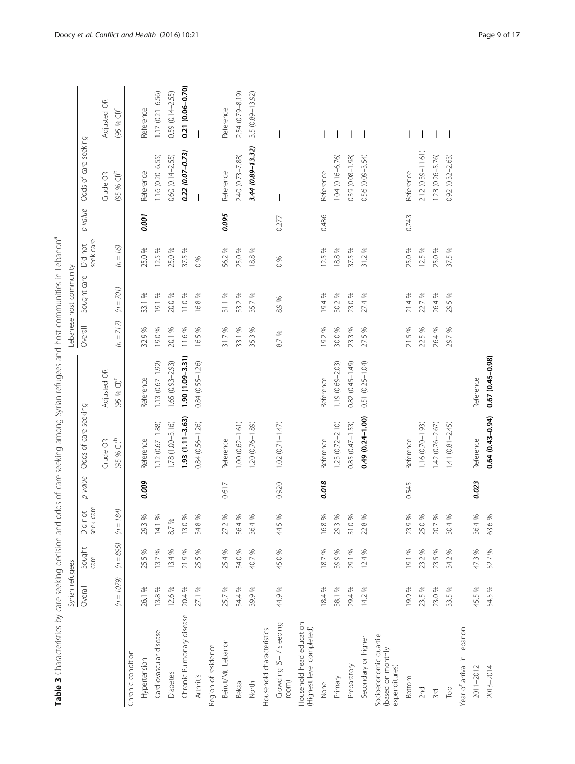<span id="page-8-0"></span>

|                                                              | Syrian refugees |                |                      |         |                           |                       |             | Lebanese host community |                      |         |                      |                          |
|--------------------------------------------------------------|-----------------|----------------|----------------------|---------|---------------------------|-----------------------|-------------|-------------------------|----------------------|---------|----------------------|--------------------------|
|                                                              | Overall         | Sought<br>eare | seek care<br>Did not | p-value | Odds of care seeking      |                       | Overall     | Sought care             | seek care<br>Did not | p-value | Odds of care seeking |                          |
|                                                              |                 |                |                      |         | Crude OR                  | Adjusted OR           |             |                         |                      |         | Crude OR             | Adjusted OR              |
|                                                              | $(n = 1079)$    | $(n = 895)$    | $(n = 184)$          |         | (95 % $Cl$ ) <sup>b</sup> | (95 % C) <sup>c</sup> | $(n = 717)$ | $(n = 701)$             | $(n = 16)$           |         | $(95\%C)^b$          | $(95%$ Cl) <sup>c</sup>  |
| Chronic condition                                            |                 |                |                      |         |                           |                       |             |                         |                      |         |                      |                          |
| Hypertension                                                 | 26.1 %          | $\%$<br>25.5   | 29.3 %               | 0.009   | Reference                 | Reference             | 32.9 %      | 33.1 %                  | 25.0 %               | 0.001   | Reference            | Reference                |
| Cardiovascular disease                                       | 13.8 %          | 13.7 %         | 14.1 %               |         | $1.12(0.67 - 1.88)$       | $1.13(0.67 - 1.92)$   | 19.0 %      | 19.1 %                  | 12.5 %               |         | 1.16 (0.20-6.55)     | $1.17(0.21 - 6.56)$      |
| Diabetes                                                     | 12.6 %          | S,<br>13.4     | 8.7 %                |         | $1.78(1.00 - 3.16)$       | 1.65 (0.93-2.93)      | 20.1 %      | 20.0%                   | 25.0 %               |         | $0.60(0.14 - 2.55)$  | $0.59(0.14 - 2.55)$      |
| Chronic Pulmonary disease                                    | 20.4 %          | 21.9 %         | 13.0%                |         | 1.93 (1.11-3.63)          | $1.90(1.09 - 3.31)$   | 11.6 %      | 11.0%                   | 37.5 %               |         | 0.22 (0.07-0.73)     | 0.21 (0.06-0.70)         |
| Arthritis                                                    | $\%$<br>27.1    | S,<br>25.5     | 34.8 %               |         | $0.84(0.56 - 1.26)$       | $0.84(0.55 - 1.26)$   | %<br>16.5   | $\%$<br>16.8            | $0\%$                |         |                      |                          |
| Region of residence                                          |                 |                |                      |         |                           |                       |             |                         |                      |         |                      |                          |
| Beirut/Mt. Lebanon                                           | 25.7 %          | 25.4 %         | 27.2 %               | 0.617   | Reference                 |                       | 31.7 %      | 31.1 %                  | 56.2 %               | 0.095   | Reference            | Reference                |
| Bekaa                                                        | 34.4 %          | 34.0 %         | 36.4 %               |         | $1.00(0.62 - 1.61)$       |                       | 33.1 %      | $\%$<br>33.2            | 25.0 %               |         | 2.40 (0.73-7.88)     | 2.54 (0.79-8.19)         |
| North                                                        | 39.9 %          | $\%$<br>40.7   | 36.4 %               |         | 1.20 (0.76-1.89)          |                       | 35.3 %      | 35.7 %                  | 18.8%                |         | 3.44 (0.89-13.32)    | 3.5 (0.89-13.92)         |
| Household characteristics                                    |                 |                |                      |         |                           |                       |             |                         |                      |         |                      |                          |
| Crowding (5+/sleeping<br>room)                               | 44.9 %          | 45.0 %         | 44.5 %               | 0.920   | $1.02(0.71 - 1.47)$       |                       | 8.7 %       | 8.9%                    | 0%                   | 0.277   |                      |                          |
| Household head education<br>(Highest level completed)        |                 |                |                      |         |                           |                       |             |                         |                      |         |                      |                          |
| None                                                         | 18.4 %          | 18.7 %         | 16.8%                | 0.018   | Reference                 | Reference             | 19.2 %      | 194 %                   | 12.5 %               | 0.486   | Reference            |                          |
| Primary                                                      | 38.1 %          | S,<br>39.9     | 29.3 %               |         | $1.23$ $(0.72 - 2.10)$    | 1.19 (0.69-2.03)      | 30.0 %      | 30.2 %                  | 18.8%                |         | $1.04(0.16 - 6.76)$  |                          |
| Preparatory                                                  | S,<br>29.4      | S,<br>29.1     | 31.0%                |         | $0.85(0.47 - 1.53)$       | $0.82(0.45 - 1.49)$   | 23.3 %      | 23.0 %                  | 37.5 %               |         | 0.39 (0.08-1.98)     |                          |
| Secondary or higher                                          | S,<br>14.2      | %<br>12.4      | 22.8 %               |         | 0.49 (0.24-1.00)          | $0.51 (0.25 - 1.04)$  | 27.5 %      | 27.4 %                  | 31.2 %               |         | 0.56 (0.09-3.54)     | $\overline{\phantom{a}}$ |
| Socioeconomic quartile<br>(based on monthly<br>expenditures) |                 |                |                      |         |                           |                       |             |                         |                      |         |                      |                          |
| Bottom                                                       | 19.9%           | $\%$<br>19.1   | 23.9%                | 0.545   | Reference                 |                       | 21.5 %      | 21.4 %                  | 25.0 %               | 0.743   | Reference            |                          |
| 2nd                                                          | 23.5 %          | ℅<br>23.2      | 25.0 %               |         | $1.16(0.70 - 1.93)$       |                       | 22.5 %      | $\%$<br>22.7            | 12.5 %               |         | 2.12 (0.39-11.61)    |                          |
| 3rd                                                          | 23.0%           | S,<br>23.5     | 20.7 %               |         | 1.42 (0.76-2.67)          |                       | 26.4 %      | 26.4 %                  | 25.0 %               |         | 1.23 (0.26-5.76)     |                          |
| Top                                                          | ℅<br>33.5       | ℅<br>34.2      | 30.4 %               |         | $1.41(0.81 - 2.45)$       |                       | 29.7 %      | 29.5 %                  | 37.5 %               |         | 0.92 (0.32-2.63)     | $\overline{\phantom{a}}$ |
| Year of arrival in Lebanon                                   |                 |                |                      |         |                           |                       |             |                         |                      |         |                      |                          |
| 2011-2012                                                    | 45.5 %          | 47.3 %         | 36.4 %               | 0.023   | Reference                 | Reference             |             |                         |                      |         |                      |                          |
| 2013-2014                                                    | 54.5 %          | 52.7 %         | 63.6%                |         | $0.64(0.43 - 0.94)$       | 0.67 (0.45-0.98)      |             |                         |                      |         |                      |                          |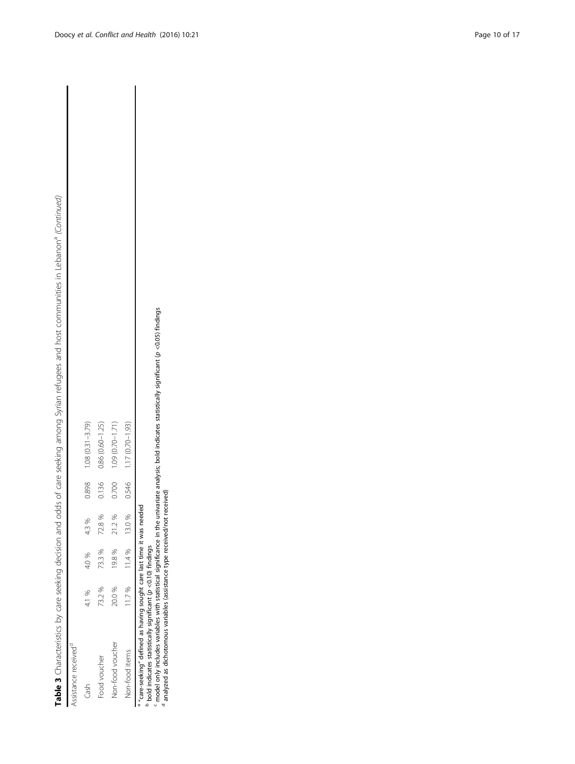Assistance received<sup>d</sup> Assistance received<sup>d</sup>

|                        |       |        |        |        | a "care-seaking" defined as having sought care last time it was needed |
|------------------------|-------|--------|--------|--------|------------------------------------------------------------------------|
| $1.17(0.70 - 1.93)$    | 0.546 | 13.0%  | 11.4 % | 11.7 % | Non-food items                                                         |
| $1.09(0.70 - 1.71)$    | 0.700 | 21.2 % | 19.8%  | 20.0%  | Non-food voucher                                                       |
| $0.86$ $(0.60 - 1.25)$ | 0.136 | 72.8%  | 73.3%  | 73.2 % | Food voucher                                                           |
| $1.08(0.31 - 3.79)$    | 0.898 | 4.3 %  | 4.0 %  | 4.1 %  | Cash                                                                   |
|                        |       |        |        |        |                                                                        |

"care-seeking" defined as having sought care last time it was needed

bcdbold indicates statistically significant (p <0.10) findings

 $^{\circ}$  model only includes variables with statistical significance in the univariate analysis; bold indicates statistically significant (p <0.05) findings

analyzed as dichotomous variables (assistance type received/not received)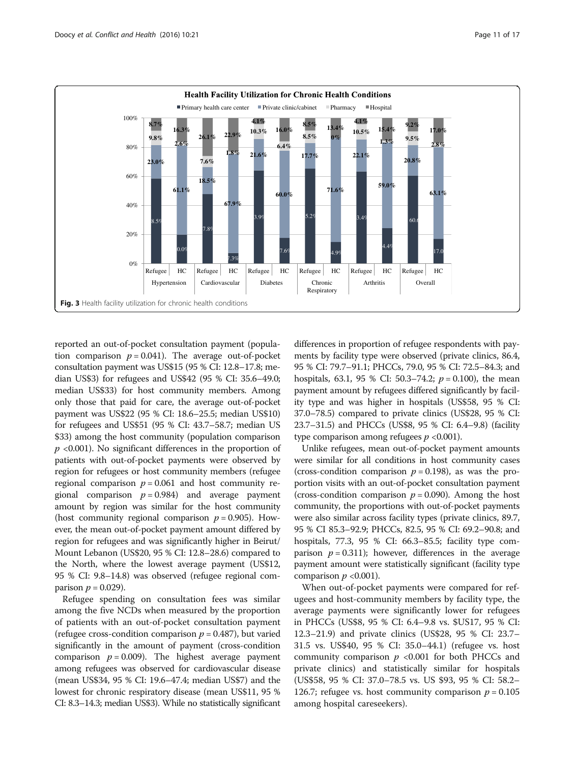<span id="page-10-0"></span>

reported an out-of-pocket consultation payment (population comparison  $p = 0.041$ ). The average out-of-pocket consultation payment was US\$15 (95 % CI: 12.8–17.8; median US\$3) for refugees and US\$42 (95 % CI: 35.6–49.0; median US\$33) for host community members. Among only those that paid for care, the average out-of-pocket payment was US\$22 (95 % CI: 18.6–25.5; median US\$10) for refugees and US\$51 (95 % CI: 43.7–58.7; median US \$33) among the host community (population comparison  $p \leq 0.001$ ). No significant differences in the proportion of patients with out-of-pocket payments were observed by region for refugees or host community members (refugee regional comparison  $p = 0.061$  and host community regional comparison  $p = 0.984$  and average payment amount by region was similar for the host community (host community regional comparison  $p = 0.905$ ). However, the mean out-of-pocket payment amount differed by region for refugees and was significantly higher in Beirut/ Mount Lebanon (US\$20, 95 % CI: 12.8–28.6) compared to the North, where the lowest average payment (US\$12, 95 % CI: 9.8–14.8) was observed (refugee regional comparison  $p = 0.029$ ).

Refugee spending on consultation fees was similar among the five NCDs when measured by the proportion of patients with an out-of-pocket consultation payment (refugee cross-condition comparison  $p = 0.487$ ), but varied significantly in the amount of payment (cross-condition comparison  $p = 0.009$ . The highest average payment among refugees was observed for cardiovascular disease (mean US\$34, 95 % CI: 19.6–47.4; median US\$7) and the lowest for chronic respiratory disease (mean US\$11, 95 % CI: 8.3–14.3; median US\$3). While no statistically significant

differences in proportion of refugee respondents with payments by facility type were observed (private clinics, 86.4, 95 % CI: 79.7–91.1; PHCCs, 79.0, 95 % CI: 72.5–84.3; and hospitals, 63.1, 95 % CI: 50.3–74.2;  $p = 0.100$ ), the mean payment amount by refugees differed significantly by facility type and was higher in hospitals (US\$58, 95 % CI: 37.0–78.5) compared to private clinics (US\$28, 95 % CI: 23.7–31.5) and PHCCs (US\$8, 95 % CI: 6.4–9.8) (facility type comparison among refugees  $p < 0.001$ ).

Unlike refugees, mean out-of-pocket payment amounts were similar for all conditions in host community cases (cross-condition comparison  $p = 0.198$ ), as was the proportion visits with an out-of-pocket consultation payment (cross-condition comparison  $p = 0.090$ ). Among the host community, the proportions with out-of-pocket payments were also similar across facility types (private clinics, 89.7, 95 % CI 85.3–92.9; PHCCs, 82.5, 95 % CI: 69.2–90.8; and hospitals, 77.3, 95 % CI: 66.3–85.5; facility type comparison  $p = 0.311$ ); however, differences in the average payment amount were statistically significant (facility type comparison  $p \leq 0.001$ ).

When out-of-pocket payments were compared for refugees and host-community members by facility type, the average payments were significantly lower for refugees in PHCCs (US\$8, 95 % CI: 6.4–9.8 vs. \$US17, 95 % CI: 12.3–21.9) and private clinics (US\$28, 95 % CI: 23.7– 31.5 vs. US\$40, 95 % CI: 35.0–44.1) (refugee vs. host community comparison  $p$  <0.001 for both PHCCs and private clinics) and statistically similar for hospitals (US\$58, 95 % CI: 37.0–78.5 vs. US \$93, 95 % CI: 58.2– 126.7; refugee vs. host community comparison  $p = 0.105$ among hospital careseekers).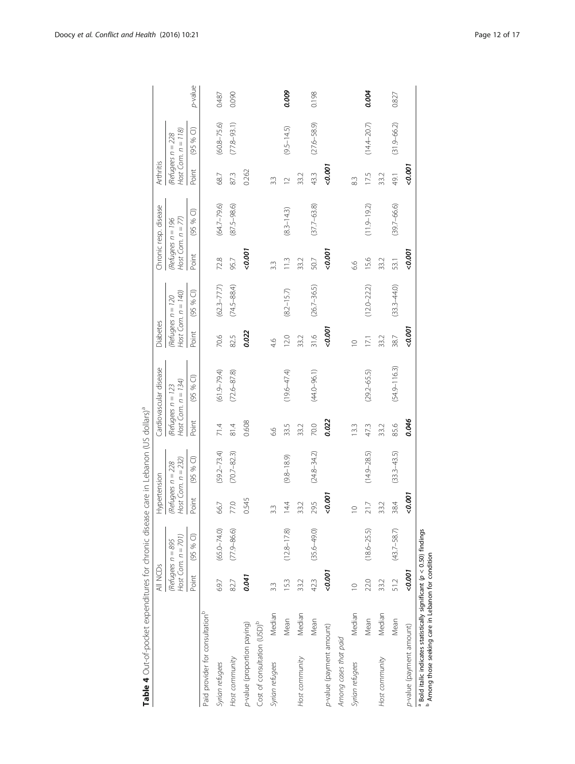<span id="page-11-0"></span>

| Table 4 Out-of-pocket expenditures for chronic disease care in Lebanon (US dollars) <sup>a</sup> |        |                      |                                            |              |                                          |                     |                        |          |                                            |                                           |                           |                |                                            |         |
|--------------------------------------------------------------------------------------------------|--------|----------------------|--------------------------------------------|--------------|------------------------------------------|---------------------|------------------------|----------|--------------------------------------------|-------------------------------------------|---------------------------|----------------|--------------------------------------------|---------|
|                                                                                                  |        | All NCD <sub>S</sub> |                                            | Hypertension |                                          |                     | Cardiovascular disease | Diabetes |                                            |                                           | Chronic resp. disease     | Arthritis      |                                            |         |
|                                                                                                  |        |                      | Host Com. $n = 701$<br>(Refugees $n = 895$ |              | Host Com. $n = 232$<br>(Refugees n = 228 | (Refugees $n = 123$ | Host Com. $n = 134$    |          | Host Com. $n = 140$<br>(Refugees $n = 120$ | Host Com. $n = 77$<br>(Refugees $n = 196$ |                           |                | Host Com. $n = 118$ )<br>(Refugees n = 228 |         |
|                                                                                                  |        | Point                | (95 % C)                                   | Point        | (95 % 11)                                | Point               | (95 %)                 | Point    | (95 %)                                     | Point                                     | $\widehat{\cup}$<br>(95 % | Point          | (95 % 11)                                  | p-value |
| Paid provider for consultation <sup>b</sup>                                                      |        |                      |                                            |              |                                          |                     |                        |          |                                            |                                           |                           |                |                                            |         |
| Syrian refugees                                                                                  |        | 69.7                 | $(65.0 - 74.0)$                            | 66.7         | $(59.2 - 73.4)$                          | 71.4                | $(61.9 - 79.4)$        | 70.6     | $(62.3 - 77.7)$                            | 72.8                                      | $(64.7 - 79.6)$           | 68.7           | $(60.8 - 75.6)$                            | 0.487   |
| Host community                                                                                   |        | 82.7                 | $(77.9 - 86.6)$                            | 77.0         | $(70.7 - 82.3)$                          | 81.4                | $(72.6 - 87.8)$        | 82.5     | $(74.5 - 88.4)$                            | 95.7                                      | $(87.5 - 98.6)$           | 87.3           | $(77.8 - 93.1)$                            | 0.090   |
| p-value (proportion paying)                                                                      |        | 0.041                |                                            | 0.545        |                                          | 0.608               |                        | 0.022    |                                            | $-0.001$                                  |                           | 0.262          |                                            |         |
| Cost of consultation (USD) <sup>b</sup>                                                          |        |                      |                                            |              |                                          |                     |                        |          |                                            |                                           |                           |                |                                            |         |
| Syrian refugees                                                                                  | Median | 33                   |                                            | 33           |                                          | 6.6                 |                        | 4.6      |                                            | 33                                        |                           | 3.3            |                                            |         |
|                                                                                                  | Mean   | 153                  | $(12.8 - 17.8)$                            | 144          | $(9.8 - 18.9)$                           | 33.5                | $(19.6 - 47.4)$        | 12.0     | $(8.2 - 15.7)$                             | 11.3                                      | $(8.3 - 14.3)$            | $\overline{C}$ | $(9.5 - 14.5)$                             | 0.009   |
| Host community                                                                                   | Median | 33.2                 |                                            | 33.2         |                                          | 33.2                |                        | 33.2     |                                            | 33.2                                      |                           | 33.2           |                                            |         |
|                                                                                                  | Mean   | 423                  | $(35.6 - 49.0)$                            | 29.5         | $(24.8 - 34.2)$                          | 70.0                | $(44.0 - 96.1)$        | 31.6     | $(26.7 - 36.5)$                            | 50.7                                      | $(37.7 - 63.8)$           | 43.3           | $(27.6 - 58.9)$                            | 0.198   |
| p-value (payment amount)                                                                         |        | 0.007                |                                            | $-0.001$     |                                          | 0.022               |                        | 50.001   |                                            | 0.001                                     |                           | 0.001          |                                            |         |
| Among cases that paid                                                                            |        |                      |                                            |              |                                          |                     |                        |          |                                            |                                           |                           |                |                                            |         |
| Syrian refugees                                                                                  | Median | $\circ$              |                                            | $\supseteq$  |                                          | 13.3                |                        | $\circ$  |                                            | 6.6                                       |                           | 83             |                                            |         |
|                                                                                                  | Mean   | 22.0                 | $(18.6 - 25.5)$                            | 21.7         | $(14.9 - 28.5)$                          | 47.3                | $(29.2 - 65.5)$        | 17.1     | $(12.0 - 22.2)$                            | 15.6                                      | $(11.9 - 19.2)$           | 17.5           | $(14.4 - 20.7)$                            | 0.004   |
| Host community                                                                                   | Median | 33.2                 |                                            | 33.2         |                                          | 33.2                |                        | 33.2     |                                            | 33.2                                      |                           | 33.2           |                                            |         |
|                                                                                                  | Mean   | 51.2                 | $(43.7 - 58.7)$                            | 38.4         | $(33.3 - 43.5)$                          | 85.6                | $(54.9 - 116.3)$       | 38.7     | $(33.3 - 44.0)$                            | 53.1                                      | $(39.7 - 66.6)$           | 49.1           | $(31.9 - 66.2)$                            | 0.827   |
| p-value (payment amount)                                                                         |        | 0.001                |                                            | $-0.001$     |                                          | 0.046               |                        | $-0.001$ |                                            | $-0.001$                                  |                           | $-0.001$       |                                            |         |
| <sup>a</sup> Bold italic indicates statistically significant (p < 0.50) findings                 |        |                      |                                            |              |                                          |                     |                        |          |                                            |                                           |                           |                |                                            |         |

Among those seeking care in Lebanon for condition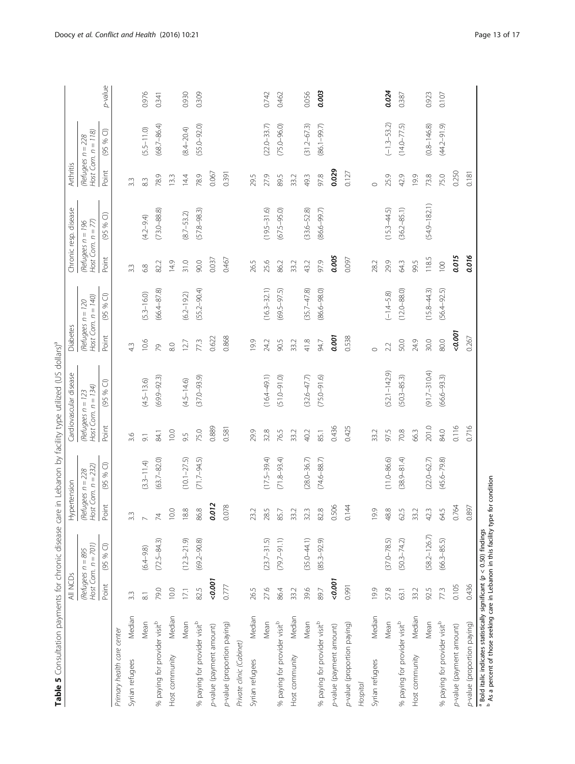<span id="page-12-0"></span>

| Table 5 Consultation payments for chronic disease care in Lebanon by facility type utilized (US dollars) <sup>a</sup>                                                              |        |                      |                                            |                      |                                                         |                    |                                           |                |                                          |       |                                         |           |                                            |         |
|------------------------------------------------------------------------------------------------------------------------------------------------------------------------------------|--------|----------------------|--------------------------------------------|----------------------|---------------------------------------------------------|--------------------|-------------------------------------------|----------------|------------------------------------------|-------|-----------------------------------------|-----------|--------------------------------------------|---------|
|                                                                                                                                                                                    |        | All NCD <sub>s</sub> |                                            | Hypertension         |                                                         |                    | Cardiovascular disease                    | Diabetes       |                                          |       | Chronic resp. disease                   | Arthritis |                                            |         |
|                                                                                                                                                                                    |        |                      | Host Com. $n = 701$<br>(Refugees $n = 895$ |                      | (Refugees $n = 228$                                     |                    | Host Com. $n = 134$ )<br>Refugees n = 123 |                | Host Com. $n = 140$<br>(Refugees n = 120 |       | Host Com. $n = 77$<br>(Refugees n = 196 |           | Host Com. $n = 118$ )<br>(Refugees n = 228 |         |
|                                                                                                                                                                                    |        | Point                | $\widehat{\cup}$<br>$\%$<br>$\sqrt{95}$    |                      | $(95 %$ Cl)<br>Host Com. $n = 232$ )<br>Point (95 % Cl) | Point              | (95 % C)                                  | Point          | (95 % C)                                 | Point | (95 % C)                                | Point     | % Cl)<br>(95                               | p-value |
| Primary health care center                                                                                                                                                         |        |                      |                                            |                      |                                                         |                    |                                           |                |                                          |       |                                         |           |                                            |         |
| Syrian refugees                                                                                                                                                                    | Median | 3.3                  |                                            | 3<br>ന്              |                                                         | 3.6                |                                           | 4.3            |                                          | 33    |                                         | 3.3       |                                            |         |
|                                                                                                                                                                                    | Mean   | $\overline{\infty}$  | $(6.4 - 9.8)$                              |                      | $(3.3 - 11.4)$                                          | $\overline{\circ}$ | $(4.5 - 13.6)$                            | 10.6           | $(5.3 - 16.0)$                           | 6.8   | $(4.2 - 9.4)$                           | 8.3       | $(5.5 - 11.0)$                             | 0.976   |
| % paying for provider visitb                                                                                                                                                       |        | 79.0                 | $(72.5 - 84.3)$                            | 4<br>$\ddot{ }$      | $(63.7 - 82.0)$                                         | 84.1               | $(69.9 - 92.3)$                           | $\overline{2}$ | $(66.4 - 87.8)$                          | 82.2  | $(73.0 - 88.8)$                         | 78.9      | $(68.7 - 86.4)$                            | 0.341   |
| Host community                                                                                                                                                                     | Median | 10.0                 |                                            | $\rm{C}$             |                                                         | 10.0               |                                           | 8.0            |                                          | 14.9  |                                         | 133       |                                            |         |
|                                                                                                                                                                                    | Mean   | 17.1                 | $(12.3 - 21.9)$                            | $_{\infty}^{\infty}$ | $(10.1 - 27.5)$                                         | 9.5                | $(4.5 - 14.6)$                            | 12.7           | $(6.2 - 19.2)$                           | 31.0  | $(8.7 - 53.2)$                          | 14.4      | $(8.4 - 20.4)$                             | 0.930   |
| % paying for provider visitb                                                                                                                                                       |        | 82.5                 | $(69.2 - 90.8)$                            | 86.8                 | $(71.7 - 94.5)$                                         | 75.0               | $(37.0 - 93.9)$                           | 77.3           | $(55.2 - 90.4)$                          | 90.0  | $(57.8 - 98.3)$                         | 78.9      | $(55.0 - 92.0)$                            | 0.309   |
| p-value (payment amount)                                                                                                                                                           |        | $-0.001$             |                                            | 0.012                |                                                         | 0.889              |                                           | 0.622          |                                          | 0.037 |                                         | 0.067     |                                            |         |
| p-value (proportion paying)                                                                                                                                                        |        | 0.777                |                                            | 0.078                |                                                         | 0.581              |                                           | 0.868          |                                          | 0.467 |                                         | 0.391     |                                            |         |
| Private clinic (Cabinet)                                                                                                                                                           |        |                      |                                            |                      |                                                         |                    |                                           |                |                                          |       |                                         |           |                                            |         |
| Syrian refugees                                                                                                                                                                    | Median | 26.5                 |                                            | 23.2                 |                                                         | 29.9               |                                           | 19.9           |                                          | 265   |                                         | 29.5      |                                            |         |
|                                                                                                                                                                                    | Mean   | 27.6                 | $(23.7 - 31.5)$                            | 28.5                 | $(17.5 - 39.4)$                                         | 32.8               | $(16.4 - 49.1)$                           | 24.2           | $(16.3 - 32.1)$                          | 25.6  | $(19.5 - 31.6)$                         | 27.9      | $(22.0 - 33.7)$                            | 0.742   |
| % paying for provider visitb                                                                                                                                                       |        | 86.4                 | $(79.7 - 91.1)$                            | 85.7                 | $(71.8 - 93.4)$                                         | 76.5               | $(51.0 - 91.0)$                           | 90.5           | $(69.5 - 97.5)$                          | 86.2  | $(67.5 - 95.0)$                         | 895       | $(75.0 - 96.0)$                            | 0.462   |
| Host community                                                                                                                                                                     | Median | 33.2                 |                                            | 33.2                 |                                                         | 33.2               |                                           | 33.2           |                                          | 33.2  |                                         | 33.2      |                                            |         |
|                                                                                                                                                                                    | Mean   | 39.6                 | $(35.0 - 44.1)$                            | 32.3                 | $(28.0 - 36.7)$                                         | 40.2               | $(32.6 - 47.7)$                           | 41.8           | $(35.7 - 47.8)$                          | 43.2  | $(33.6 - 52.8)$                         | 493       | $(31.2 - 67.3)$                            | 0.056   |
| % paying for provider visitb                                                                                                                                                       |        | 89.7                 | $(85.3 - 92.9)$                            | 82.8                 | $(74.6 - 88.7)$                                         | 85.1               | $(75.0 - 91.6)$                           | 94.7           | $(86.6 - 98.0)$                          | 97.9  | $(86.6 - 99.7)$                         | 97.8      | $(86.1 - 99.7)$                            | 0.003   |
| p-value (payment amount)                                                                                                                                                           |        | $-0.001$             |                                            | 0.506                |                                                         | 0.436              |                                           | 0.001          |                                          | 0.005 |                                         | 0.029     |                                            |         |
| p-value (proportion paying)                                                                                                                                                        |        | 0.991                |                                            | 0.144                |                                                         | 0.425              |                                           | 0.538          |                                          | 0.097 |                                         | 0.127     |                                            |         |
| Hospital                                                                                                                                                                           |        |                      |                                            |                      |                                                         |                    |                                           |                |                                          |       |                                         |           |                                            |         |
| Syrian refugees                                                                                                                                                                    | Median | 19.9                 |                                            | 9.9                  |                                                         | 33.2               |                                           | $\circ$        |                                          | 28.2  |                                         |           |                                            |         |
|                                                                                                                                                                                    | Mean   | 57.8                 | $(37.0 - 78.5)$                            | 48.8                 | $(11.0 - 86.6)$                                         | 97.5               | $(52.1 - 142.9)$                          | 2.2            | $(-1.4 - 5.8)$                           | 29.9  | $(15.3 - 44.5)$                         | 25.9      | $(-1.3 - 53.2)$                            | 0.024   |
| % paying for provider visitb                                                                                                                                                       |        | 63.1                 | $(50.3 - 74.2)$                            | 62.5                 | $(38.9 - 81.4)$                                         | 70.8               | $(50.3 - 85.3)$                           | 50.0           | $(12.0 - 88.0)$                          | 64.3  | $(36.2 - 85.1)$                         | 42.9      | $(14.0 - 77.5)$                            | 0.387   |
| Host community                                                                                                                                                                     | Median | 33.2                 |                                            | 33.2                 |                                                         | 66.3               |                                           | 24.9           |                                          | 99.5  |                                         | 19.9      |                                            |         |
|                                                                                                                                                                                    | Mean   | 92.5                 | $(58.2 - 126.7)$                           | 42.3                 | $(22.0 - 62.7)$                                         | 201.0              | $(91.7 - 310.4)$                          | 30.0           | $(15.8 - 44.3)$                          | 118.5 | $(54.9 - 182.1)$                        | 73.8      | $(0.8 - 146.8)$                            | 0.923   |
| % paying for provider visitb                                                                                                                                                       |        | 773                  | $(66.3 - 85.5)$                            | 64.5                 | $(45.6 - 79.8)$                                         | 84.0               | $(66.6 - 93.3)$                           | 80.0           | $(56.4 - 92.5)$                          | 100   |                                         | 75.0      | $(44.2 - 91.9)$                            | 0.107   |
| p-value (payment amount)                                                                                                                                                           |        | 0.105                |                                            | 0.764                |                                                         | 0.116              |                                           | $-0.001$       |                                          | 0.015 |                                         | 0.250     |                                            |         |
| p-value (proportion paying)                                                                                                                                                        |        | 0.436                |                                            | 897<br>Õ             |                                                         | 0.716              |                                           | 0.267          |                                          | 0.016 |                                         | 0.181     |                                            |         |
| <sup>b</sup> As a percent of those seeking care in Lebanon in this facility type for condition<br><sup>a</sup> Bold italic indicates statistically significant (p < 0.50) findings |        |                      |                                            |                      |                                                         |                    |                                           |                |                                          |       |                                         |           |                                            |         |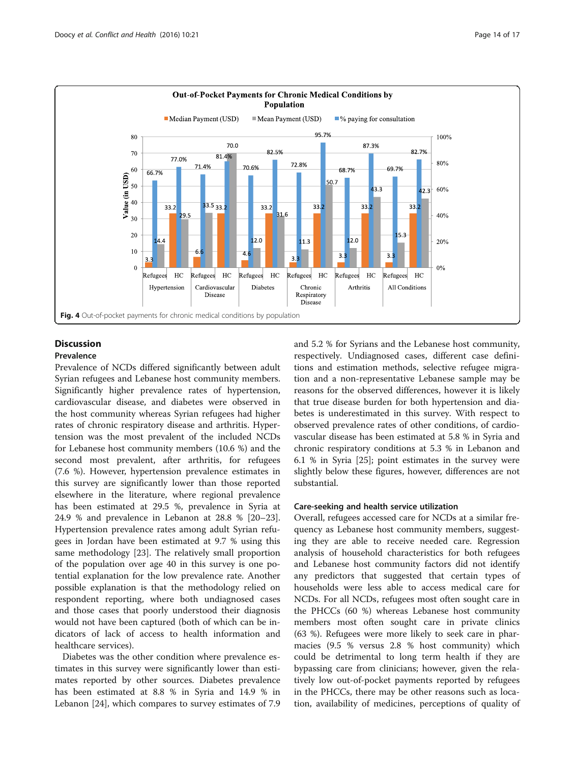<span id="page-13-0"></span>

### **Discussion**

### Prevalence

Prevalence of NCDs differed significantly between adult Syrian refugees and Lebanese host community members. Significantly higher prevalence rates of hypertension, cardiovascular disease, and diabetes were observed in the host community whereas Syrian refugees had higher rates of chronic respiratory disease and arthritis. Hypertension was the most prevalent of the included NCDs for Lebanese host community members (10.6 %) and the second most prevalent, after arthritis, for refugees (7.6 %). However, hypertension prevalence estimates in this survey are significantly lower than those reported elsewhere in the literature, where regional prevalence has been estimated at 29.5 %, prevalence in Syria at 24.9 % and prevalence in Lebanon at 28.8 % [[20](#page-16-0)–[23](#page-16-0)]. Hypertension prevalence rates among adult Syrian refugees in Jordan have been estimated at 9.7 % using this same methodology [[23](#page-16-0)]. The relatively small proportion of the population over age 40 in this survey is one potential explanation for the low prevalence rate. Another possible explanation is that the methodology relied on respondent reporting, where both undiagnosed cases and those cases that poorly understood their diagnosis would not have been captured (both of which can be indicators of lack of access to health information and healthcare services).

Diabetes was the other condition where prevalence estimates in this survey were significantly lower than estimates reported by other sources. Diabetes prevalence has been estimated at 8.8 % in Syria and 14.9 % in Lebanon [\[24](#page-16-0)], which compares to survey estimates of 7.9 and 5.2 % for Syrians and the Lebanese host community, respectively. Undiagnosed cases, different case definitions and estimation methods, selective refugee migration and a non-representative Lebanese sample may be reasons for the observed differences, however it is likely that true disease burden for both hypertension and diabetes is underestimated in this survey. With respect to observed prevalence rates of other conditions, of cardiovascular disease has been estimated at 5.8 % in Syria and chronic respiratory conditions at 5.3 % in Lebanon and 6.1 % in Syria [[25\]](#page-16-0); point estimates in the survey were slightly below these figures, however, differences are not substantial.

#### Care-seeking and health service utilization

Overall, refugees accessed care for NCDs at a similar frequency as Lebanese host community members, suggesting they are able to receive needed care. Regression analysis of household characteristics for both refugees and Lebanese host community factors did not identify any predictors that suggested that certain types of households were less able to access medical care for NCDs. For all NCDs, refugees most often sought care in the PHCCs (60 %) whereas Lebanese host community members most often sought care in private clinics (63 %). Refugees were more likely to seek care in pharmacies (9.5 % versus 2.8 % host community) which could be detrimental to long term health if they are bypassing care from clinicians; however, given the relatively low out-of-pocket payments reported by refugees in the PHCCs, there may be other reasons such as location, availability of medicines, perceptions of quality of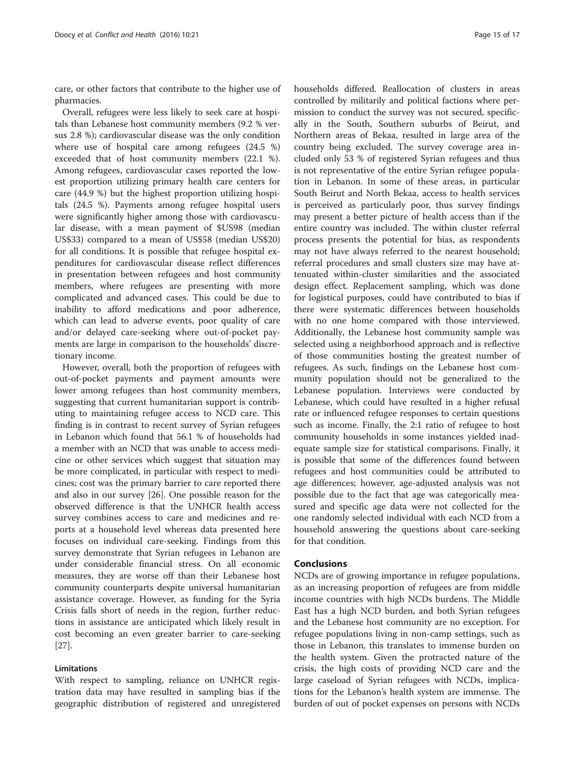care, or other factors that contribute to the higher use of pharmacies.

Overall, refugees were less likely to seek care at hospitals than Lebanese host community members (9.2 % versus 2.8 %); cardiovascular disease was the only condition where use of hospital care among refugees (24.5 %) exceeded that of host community members (22.1 %). Among refugees, cardiovascular cases reported the lowest proportion utilizing primary health care centers for care (44.9 %) but the highest proportion utilizing hospitals (24.5 %). Payments among refugee hospital users were significantly higher among those with cardiovascular disease, with a mean payment of \$US98 (median US\$33) compared to a mean of US\$58 (median US\$20) for all conditions. It is possible that refugee hospital expenditures for cardiovascular disease reflect differences in presentation between refugees and host community members, where refugees are presenting with more complicated and advanced cases. This could be due to inability to afford medications and poor adherence, which can lead to adverse events, poor quality of care and/or delayed care-seeking where out-of-pocket payments are large in comparison to the households' discretionary income.

However, overall, both the proportion of refugees with out-of-pocket payments and payment amounts were lower among refugees than host community members, suggesting that current humanitarian support is contributing to maintaining refugee access to NCD care. This finding is in contrast to recent survey of Syrian refugees in Lebanon which found that 56.1 % of households had a member with an NCD that was unable to access medicine or other services which suggest that situation may be more complicated, in particular with respect to medicines; cost was the primary barrier to care reported there and also in our survey [[26](#page-16-0)]. One possible reason for the observed difference is that the UNHCR health access survey combines access to care and medicines and reports at a household level whereas data presented here focuses on individual care-seeking. Findings from this survey demonstrate that Syrian refugees in Lebanon are under considerable financial stress. On all economic measures, they are worse off than their Lebanese host community counterparts despite universal humanitarian assistance coverage. However, as funding for the Syria Crisis falls short of needs in the region, further reductions in assistance are anticipated which likely result in cost becoming an even greater barrier to care-seeking [[27\]](#page-16-0).

#### Limitations

With respect to sampling, reliance on UNHCR registration data may have resulted in sampling bias if the geographic distribution of registered and unregistered households differed. Reallocation of clusters in areas controlled by militarily and political factions where permission to conduct the survey was not secured, specifically in the South, Southern suburbs of Beirut, and Northern areas of Bekaa, resulted in large area of the country being excluded. The survey coverage area included only 53 % of registered Syrian refugees and thus is not representative of the entire Syrian refugee population in Lebanon. In some of these areas, in particular South Beirut and North Bekaa, access to health services is perceived as particularly poor, thus survey findings may present a better picture of health access than if the entire country was included. The within cluster referral process presents the potential for bias, as respondents may not have always referred to the nearest household; referral procedures and small clusters size may have attenuated within-cluster similarities and the associated design effect. Replacement sampling, which was done for logistical purposes, could have contributed to bias if there were systematic differences between households with no one home compared with those interviewed. Additionally, the Lebanese host community sample was selected using a neighborhood approach and is reflective of those communities hosting the greatest number of refugees. As such, findings on the Lebanese host community population should not be generalized to the Lebanese population. Interviews were conducted by Lebanese, which could have resulted in a higher refusal rate or influenced refugee responses to certain questions such as income. Finally, the 2:1 ratio of refugee to host community households in some instances yielded inadequate sample size for statistical comparisons. Finally, it is possible that some of the differences found between refugees and host communities could be attributed to age differences; however, age-adjusted analysis was not possible due to the fact that age was categorically measured and specific age data were not collected for the one randomly selected individual with each NCD from a household answering the questions about care-seeking for that condition.

#### Conclusions

NCDs are of growing importance in refugee populations, as an increasing proportion of refugees are from middle income countries with high NCDs burdens. The Middle East has a high NCD burden, and both Syrian refugees and the Lebanese host community are no exception. For refugee populations living in non-camp settings, such as those in Lebanon, this translates to immense burden on the health system. Given the protracted nature of the crisis, the high costs of providing NCD care and the large caseload of Syrian refugees with NCDs, implications for the Lebanon's health system are immense. The burden of out of pocket expenses on persons with NCDs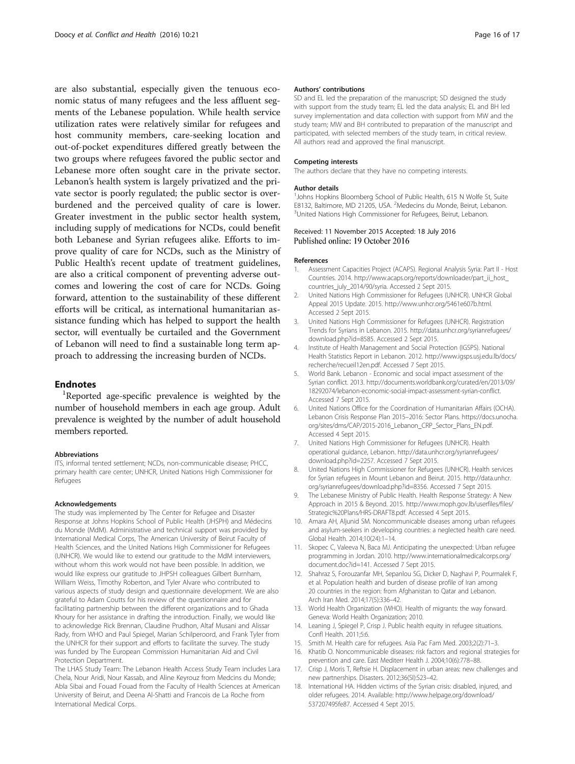<span id="page-15-0"></span>are also substantial, especially given the tenuous economic status of many refugees and the less affluent segments of the Lebanese population. While health service utilization rates were relatively similar for refugees and host community members, care-seeking location and out-of-pocket expenditures differed greatly between the two groups where refugees favored the public sector and Lebanese more often sought care in the private sector. Lebanon's health system is largely privatized and the private sector is poorly regulated; the public sector is overburdened and the perceived quality of care is lower. Greater investment in the public sector health system, including supply of medications for NCDs, could benefit both Lebanese and Syrian refugees alike. Efforts to improve quality of care for NCDs, such as the Ministry of Public Health's recent update of treatment guidelines, are also a critical component of preventing adverse outcomes and lowering the cost of care for NCDs. Going forward, attention to the sustainability of these different efforts will be critical, as international humanitarian assistance funding which has helped to support the health sector, will eventually be curtailed and the Government of Lebanon will need to find a sustainable long term approach to addressing the increasing burden of NCDs.

#### **Endnotes**

<sup>1</sup>Reported age-specific prevalence is weighted by the number of household members in each age group. Adult prevalence is weighted by the number of adult household members reported.

#### Abbreviations

ITS, informal tented settlement; NCDs, non-communicable disease; PHCC, primary health care center; UNHCR, United Nations High Commissioner for Refugees

#### Acknowledgements

The study was implemented by The Center for Refugee and Disaster Response at Johns Hopkins School of Public Health (JHSPH) and Médecins du Monde (MdM). Administrative and technical support was provided by International Medical Corps, The American University of Beirut Faculty of Health Sciences, and the United Nations High Commissioner for Refugees (UNHCR). We would like to extend our gratitude to the MdM interviewers, without whom this work would not have been possible. In addition, we would like express our gratitude to JHPSH colleagues Gilbert Burnham, William Weiss, Timothy Roberton, and Tyler Alvare who contributed to various aspects of study design and questionnaire development. We are also grateful to Adam Coutts for his review of the questionnaire and for facilitating partnership between the different organizations and to Ghada Khoury for her assistance in drafting the introduction. Finally, we would like to acknowledge Rick Brennan, Claudine Prudhon, Altaf Musani and Alissar Rady, from WHO and Paul Spiegel, Marian Schilperoord, and Frank Tyler from the UNHCR for their support and efforts to facilitate the survey. The study was funded by The European Commission Humanitarian Aid and Civil Protection Department.

The LHAS Study Team: The Lebanon Health Access Study Team includes Lara Chela, Nour Aridi, Nour Kassab, and Aline Keyrouz from Medcins du Monde; Abla Sibai and Fouad Fouad from the Faculty of Health Sciences at American University of Beirut, and Deena Al-Shatti and Francois de La Roche from International Medical Corps.

#### Authors' contributions

SD and EL led the preparation of the manuscript; SD designed the study with support from the study team; EL led the data analysis; EL and BH led survey implementation and data collection with support from MW and the study team; MW and BH contributed to preparation of the manuscript and participated, with selected members of the study team, in critical review. All authors read and approved the final manuscript.

#### Competing interests

The authors declare that they have no competing interests.

#### Author details

<sup>1</sup> Johns Hopkins Bloomberg School of Public Health, 615 N Wolfe St, Suite E8132, Baltimore, MD 21205, USA. <sup>2</sup>Medecins du Monde, Beirut, Lebanon.<br><sup>3</sup>United Nations High Commissioner for Pefugges, Beirut, Lebanon. <sup>3</sup>United Nations High Commissioner for Refugees, Beirut, Lebanon.

#### Received: 11 November 2015 Accepted: 18 July 2016 Published online: 19 October 2016

#### References

- 1. Assessment Capacities Project (ACAPS). Regional Analysis Syria: Part II Host Countries. 2014. [http://www.acaps.org/reports/downloader/part\\_ii\\_host\\_](http://www.acaps.org/reports/downloader/part_ii_host_countries_july_2014/90/syria) [countries\\_july\\_2014/90/syria.](http://www.acaps.org/reports/downloader/part_ii_host_countries_july_2014/90/syria) Accessed 2 Sept 2015.
- 2. United Nations High Commissioner for Refugees (UNHCR). UNHCR Global Appeal 2015 Update. 2015. http://www.unhcr.org/5461e607b.html. Accessed 2 Sept 2015.
- 3. United Nations High Commissioner for Refugees (UNHCR). Registration Trends for Syrians in Lebanon. 2015. [http://data.unhcr.org/syrianrefugees/](http://data.unhcr.org/syrianrefugees/download.php?id=8585) [download.php?id=8585](http://data.unhcr.org/syrianrefugees/download.php?id=8585). Accessed 2 Sept 2015.
- 4. Institute of Health Management and Social Protection (IGSPS). National Health Statistics Report in Lebanon. 2012. [http://www.igsps.usj.edu.lb/docs/](http://www.igsps.usj.edu.lb/docs/recherche/recueil12en.pdf) [recherche/recueil12en.pdf.](http://www.igsps.usj.edu.lb/docs/recherche/recueil12en.pdf) Accessed 7 Sept 2015.
- 5. World Bank. Lebanon Economic and social impact assessment of the Syrian conflict. 2013. [http://documents.worldbank.org/curated/en/2013/09/](http://documents.worldbank.org/curated/en/2013/09/18292074/lebanon-economic-social-impact-assessment-syrian-conflict) [18292074/lebanon-economic-social-impact-assessment-syrian-conflict.](http://documents.worldbank.org/curated/en/2013/09/18292074/lebanon-economic-social-impact-assessment-syrian-conflict) Accessed 7 Sept 2015.
- 6. United Nations Office for the Coordination of Humanitarian Affairs (OCHA). Lebanon Crisis Response Plan 2015–2016: Sector Plans. [https://docs.unocha.](https://docs.unocha.org/sites/dms/CAP/2015-2016_Lebanon_CRP_Sector_Plans_EN.pdf) [org/sites/dms/CAP/2015-2016\\_Lebanon\\_CRP\\_Sector\\_Plans\\_EN.pdf.](https://docs.unocha.org/sites/dms/CAP/2015-2016_Lebanon_CRP_Sector_Plans_EN.pdf) Accessed 4 Sept 2015.
- 7. United Nations High Commissioner for Refugees (UNHCR). Health operational guidance, Lebanon. [http://data.unhcr.org/syrianrefugees/](http://data.unhcr.org/syrianrefugees/download.php?id=2257) [download.php?id=2257](http://data.unhcr.org/syrianrefugees/download.php?id=2257). Accessed 7 Sept 2015.
- 8. United Nations High Commissioner for Refugees (UNHCR). Health services for Syrian refugees in Mount Lebanon and Beirut. 2015. [http://data.unhcr.](http://data.unhcr.org/syrianrefugees/download.php?id=8356) [org/syrianrefugees/download.php?id=8356](http://data.unhcr.org/syrianrefugees/download.php?id=8356). Accessed 7 Sept 2015.
- 9. The Lebanese Ministry of Public Health. Health Response Strategy: A New Approach in 2015 & Beyond. 2015. [http://www.moph.gov.lb/userfiles/files/](http://www.moph.gov.lb/userfiles/files/Strategic%20Plans/HRS-DRAFT8.pdf) [Strategic%20Plans/HRS-DRAFT8.pdf.](http://www.moph.gov.lb/userfiles/files/Strategic%20Plans/HRS-DRAFT8.pdf) Accessed 4 Sept 2015.
- 10. Amara AH, Aljunid SM. Noncommunicable diseases among urban refugees and asylum-seekers in developing countries: a neglected health care need. Global Health. 2014;10(24):1–14.
- 11. Skopec C, Valeeva N, Baca MJ. Anticipating the unexpected: Urban refugee programming in Jordan. 2010. [http://www.internationalmedicalcorps.org/](http://www.internationalmedicalcorps.org/document.doc?id=141) [document.doc?id=141.](http://www.internationalmedicalcorps.org/document.doc?id=141) Accessed 7 Sept 2015.
- 12. Shahraz S, Forouzanfar MH, Sepanlou SG, Dicker D, Naghavi P, Pourmalek F, et al. Population health and burden of disease profile of Iran among 20 countries in the region: from Afghanistan to Qatar and Lebanon. Arch Iran Med. 2014;17(5):336–42.
- 13. World Health Organization (WHO). Health of migrants: the way forward. Geneva: World Health Organization; 2010.
- 14. Leaning J, Spiegel P, Crisp J. Public health equity in refugee situations. Confl Health. 2011;5:6.
- 15. Smith M. Health care for refugees. Asia Pac Fam Med. 2003;2(2):71–3.
- 16. Khatib O. Noncommunicable diseases: risk factors and regional strategies for prevention and care. East Mediterr Health J. 2004;10(6):778–88.
- 17. Crisp J, Moris T, Reftsie H. Displacement in urban areas: new challenges and new partnerships. Disasters. 2012;36(SI):S23–42.
- 18. International HA. Hidden victims of the Syrian crisis: disabled, injured, and older refugees. 2014. Available: [http://www.helpage.org/download/](http://www.helpage.org/download/537207495fe87) [537207495fe87.](http://www.helpage.org/download/537207495fe87) Accessed 4 Sept 2015.